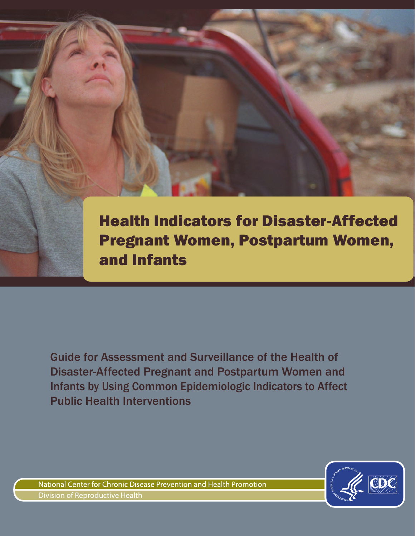Health Indicators for Disaster-Affected Pregnant Women, Postpartum Women, and Infants

Guide for Assessment and Surveillance of the Health of Disaster-Affected Pregnant and Postpartum Women and Infants by Using Common Epidemiologic Indicators to Affect Public Health Interventions



National Center for Chronic Disease Prevention and Health Promotion **Division of Reproductive Health**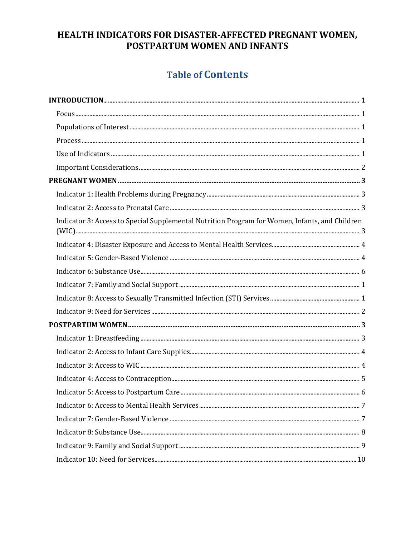## HEALTH INDICATORS FOR DISASTER-AFFECTED PREGNANT WOMEN, POSTPARTUM WOMEN AND INFANTS

## **Table of Contents**

| Indicator 3: Access to Special Supplemental Nutrition Program for Women, Infants, and Children |  |
|------------------------------------------------------------------------------------------------|--|
|                                                                                                |  |
|                                                                                                |  |
|                                                                                                |  |
|                                                                                                |  |
|                                                                                                |  |
|                                                                                                |  |
|                                                                                                |  |
|                                                                                                |  |
|                                                                                                |  |
|                                                                                                |  |
|                                                                                                |  |
|                                                                                                |  |
|                                                                                                |  |
|                                                                                                |  |
|                                                                                                |  |
|                                                                                                |  |
|                                                                                                |  |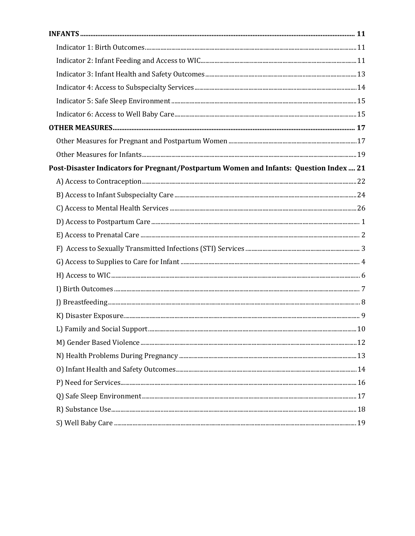| Post-Disaster Indicators for Pregnant/Postpartum Women and Infants: Question Index  21 |  |
|----------------------------------------------------------------------------------------|--|
|                                                                                        |  |
|                                                                                        |  |
|                                                                                        |  |
|                                                                                        |  |
|                                                                                        |  |
|                                                                                        |  |
|                                                                                        |  |
|                                                                                        |  |
|                                                                                        |  |
|                                                                                        |  |
|                                                                                        |  |
|                                                                                        |  |
|                                                                                        |  |
|                                                                                        |  |
|                                                                                        |  |
|                                                                                        |  |
|                                                                                        |  |
|                                                                                        |  |
|                                                                                        |  |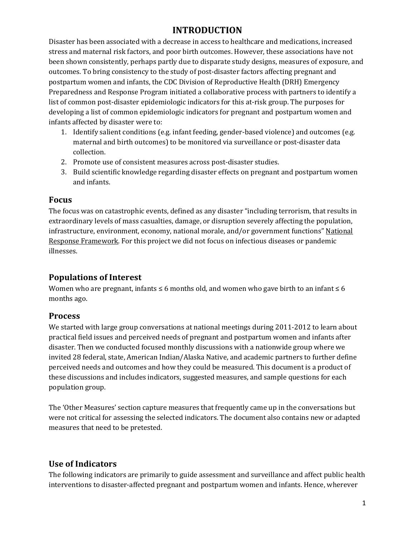## **INTRODUCTION**

Disaster has been associated with a decrease in access to healthcare and medications, increased stress and maternal risk factors, and poor birth outcomes. However, these associations have not been shown consistently, perhaps partly due to disparate study designs, measures of exposure, and outcomes. To bring consistency to the study of post-disaster factors affecting pregnant and postpartum women and infants, the CDC Division of Reproductive Health (DRH) Emergency Preparedness and Response Program initiated a collaborative process with partners to identify a list of common post-disaster epidemiologic indicators for this at-risk group. The purposes for developing a list of common epidemiologic indicators for pregnant and postpartum women and infants affected by disaster were to:

- 1. Identify salient conditions (e.g. infant feeding, gender-based violence) and outcomes (e.g. maternal and birth outcomes) to be monitored via surveillance or post-disaster data collection.
- 2. Promote use of consistent measures across post-disaster studies.
- 3. Build scientific knowledge regarding disaster effects on pregnant and postpartum women and infants.

## <span id="page-3-0"></span>**Focus**

The focus was on catastrophic events, defined as any disaster "including terrorism, that results in extraordinary levels of mass casualties, damage, or disruption severely affecting the population, infrastructure, environment, economy, national morale, and/or government functions" [National](http://www.fema.gov/national-response-framework)  [Response Framework.](http://www.fema.gov/national-response-framework) For this project we did not focus on infectious diseases or pandemic illnesses.

## <span id="page-3-1"></span>**Populations of Interest**

Women who are pregnant, infants  $\leq 6$  months old, and women who gave birth to an infant  $\leq 6$ months ago.

## <span id="page-3-2"></span>**Process**

We started with large group conversations at national meetings during 2011-2012 to learn about practical field issues and perceived needs of pregnant and postpartum women and infants after disaster. Then we conducted focused monthly discussions with a nationwide group where we invited 28 federal, state, American Indian/Alaska Native, and academic partners to further define perceived needs and outcomes and how they could be measured. This document is a product of these discussions and includes indicators, suggested measures, and sample questions for each population group.

The 'Other Measures' section capture measures that frequently came up in the conversations but were not critical for assessing the selected indicators. The document also contains new or adapted measures that need to be pretested.

## <span id="page-3-3"></span>**Use of Indicators**

The following indicators are primarily to guide assessment and surveillance and affect public health interventions to disaster-affected pregnant and postpartum women and infants. Hence, wherever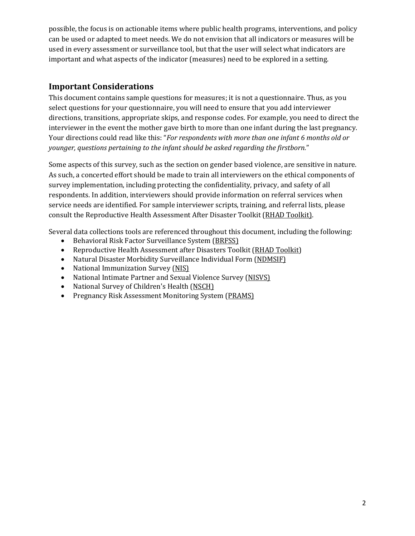possible, the focus is on actionable items where public health programs, interventions, and policy can be used or adapted to meet needs. We do not envision that all indicators or measures will be used in every assessment or surveillance tool, but that the user will select what indicators are important and what aspects of the indicator (measures) need to be explored in a setting.

## <span id="page-4-0"></span>**Important Considerations**

This document contains sample questions for measures; it is not a questionnaire. Thus, as you select questions for your questionnaire, you will need to ensure that you add interviewer directions, transitions, appropriate skips, and response codes. For example, you need to direct the interviewer in the event the mother gave birth to more than one infant during the last pregnancy. Your directions could read like this: "*For respondents with more than one infant 6 months old or younger, questions pertaining to the infant should be asked regarding the firstborn.*"

Some aspects of this survey, such as the section on gender based violence, are sensitive in nature. As such, a concerted effort should be made to train all interviewers on the ethical components of survey implementation, including protecting the confidentiality, privacy, and safety of all respondents. In addition, interviewers should provide information on referral services when service needs are identified. For sample interviewer scripts, training, and referral lists, please consult the Reproductive Health Assessment After Disaster Toolkit [\(RHAD Toolkit\)](http://cphp.sph.unc.edu/reproductivehealth/index.html).

Several data collections tools are referenced throughout this document, including the following:

- Behavioral Risk Factor Surveillance System [\(BRFSS\)](http://www.cdc.gov/brfss/)<br>• Reproductive Health Assessment after Disasters Too
- Reproductive Health Assessment after Disasters Toolkit [\(RHAD Toolkit\)](http://cphp.sph.unc.edu/reproductivehealth/index.html)
- Natural Disaster Morbidity Surveillance Individual Form [\(NDMSIF\)](http://emergency.cdc.gov/disasters/surveillance/)
- National Immunization Survey [\(NIS\)](http://www.cdc.gov/nchs/nis.htm)
- National Intimate Partner and Sexual Violence Survey [\(NISVS\)](http://www.cdc.gov/violencePrevention/NISVS/index.html)
- National Survey of Children's Health [\(NSCH\)](http://www.childhealthdata.org/learn/NSCH)
- Pregnancy Risk Assessment Monitoring System [\(PRAMS\)](http://www.cdc.gov/prams/)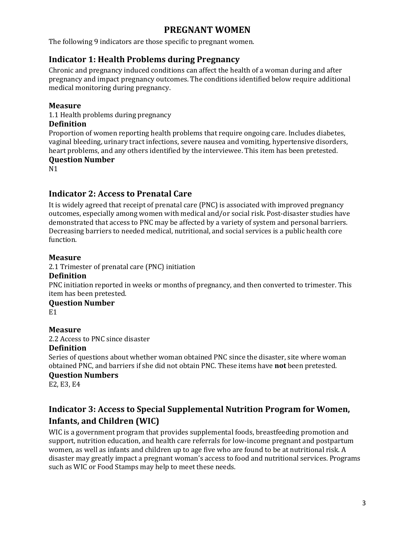## **PREGNANT WOMEN**

<span id="page-5-0"></span>The following 9 indicators are those specific to pregnant women.

## <span id="page-5-1"></span>**Indicator 1: Health Problems during Pregnancy**

Chronic and pregnancy induced conditions can affect the health of a woman during and after pregnancy and impact pregnancy outcomes. The conditions identified below require additional medical monitoring during pregnancy.

#### **Measure**

1.1 Health problems during pregnancy

#### **Definition**

Proportion of women reporting health problems that require ongoing care. Includes diabetes, vaginal bleeding, urinary tract infections, severe nausea and vomiting, hypertensive disorders, heart problems, and any others identified by the interviewee. This item has been pretested.

#### **Question Number**

N1

## <span id="page-5-2"></span>**Indicator 2: Access to Prenatal Care**

It is widely agreed that receipt of prenatal care (PNC) is associated with improved pregnancy outcomes, especially among women with medical and/or social risk. Post-disaster studies have demonstrated that access to PNC may be affected by a variety of system and personal barriers. Decreasing barriers to needed medical, nutritional, and social services is a public health core function.

#### **Measure**

2.1 Trimester of prenatal care (PNC) initiation

#### **Definition**

PNC initiation reported in weeks or months of pregnancy, and then converted to trimester. This item has been pretested.

#### **Question Number**

E1

#### **Measure**

2.2 Access to PNC since disaster

#### **Definition**

Series of questions about whether woman obtained PNC since the disaster, site where woman obtained PNC, and barriers if she did not obtain PNC. These items have **not** been pretested.

#### **Question Numbers**

E2, E3, E4

## <span id="page-5-3"></span>**Indicator 3: Access to Special Supplemental Nutrition Program for Women, Infants, and Children (WIC)**

WIC is a government program that provides supplemental foods, breastfeeding promotion and support, nutrition education, and health care referrals for low-income pregnant and postpartum women, as well as infants and children up to age five who are found to be at nutritional risk. A disaster may greatly impact a pregnant woman's access to food and nutritional services. Programs such as WIC or Food Stamps may help to meet these needs.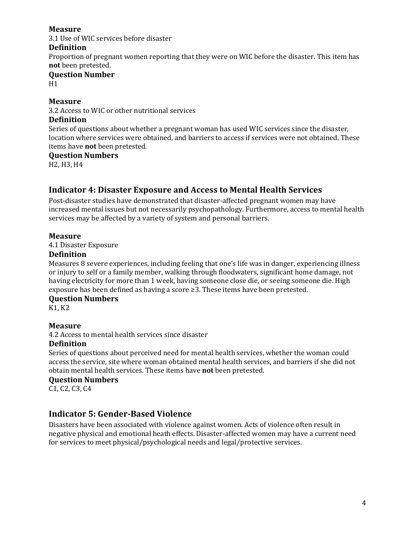3.1 Use of WIC services before disaster

#### **Definition**

Proportion of pregnant women reporting that they were on WIC before the disaster. This item has **not** been pretested.

## **Question Number**

H1

#### **Measure**

3.2 Access to WIC or other nutritional services

#### **Definition**

Series of questions about whether a pregnant woman has used WIC services since the disaster, location where services were obtained, and barriers to access if services were not obtained. These items have **not** been pretested.

#### **Question Numbers**

H2, H3, H4

## <span id="page-6-0"></span>**Indicator 4: Disaster Exposure and Access to Mental Health Services**

Post-disaster studies have demonstrated that disaster-affected pregnant women may have increased mental issues but not necessarily psychopathology. Furthermore, access to mental health services may be affected by a variety of system and personal barriers.

#### **Measure**

4.1 Disaster Exposure

#### **Definition**

Measures 8 severe experiences, including feeling that one's life was in danger, experiencing illness or injury to self or a family member, walking through floodwaters, significant home damage, not having electricity for more than 1 week, having someone close die, or seeing someone die. High exposure has been defined as having a score ≥3. These items have been pretested.

#### **Question Numbers**

K1, K2

#### **Measure**

4.2 Access to mental health services since disaster

#### **Definition**

Series of questions about perceived need for mental health services, whether the woman could access the service, site where woman obtained mental health services, and barriers if she did not obtain mental health services. These items have **not** been pretested.

#### **Question Numbers**

C1, C2, C3, C4

## <span id="page-6-1"></span>**Indicator 5: Gender-Based Violence**

Disasters have been associated with violence against women. Acts of violence often result in negative physical and emotional heath effects. Disaster-affected women may have a current need for services to meet physical/psychological needs and legal/protective services.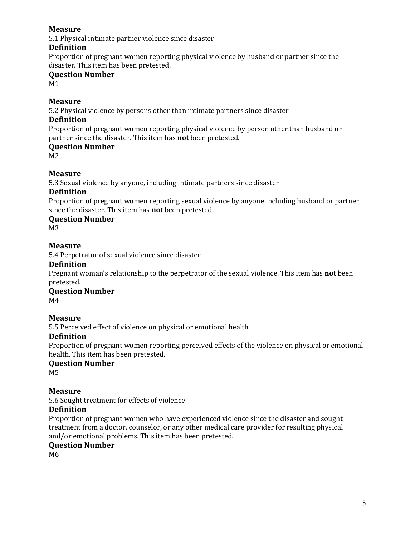5.1 Physical intimate partner violence since disaster

#### **Definition**

Proportion of pregnant women reporting physical violence by husband or partner since the disaster. This item has been pretested.

## **Question Number**

M1

#### **Measure**

5.2 Physical violence by persons other than intimate partners since disaster

#### **Definition**

Proportion of pregnant women reporting physical violence by person other than husband or partner since the disaster. This item has **not** been pretested.

#### **Question Number**

M2

#### **Measure**

5.3 Sexual violence by anyone, including intimate partners since disaster

#### **Definition**

Proportion of pregnant women reporting sexual violence by anyone including husband or partner since the disaster. This item has **not** been pretested.

#### **Question Number**

M3

#### **Measure**

5.4 Perpetrator of sexual violence since disaster

#### **Definition**

Pregnant woman's relationship to the perpetrator of the sexual violence. This item has **not** been pretested.

#### **Question Number**

M4

#### **Measure**

5.5 Perceived effect of violence on physical or emotional health

#### **Definition**

Proportion of pregnant women reporting perceived effects of the violence on physical or emotional health. This item has been pretested.

#### **Question Number**

M5

#### **Measure**

5.6 Sought treatment for effects of violence

#### **Definition**

Proportion of pregnant women who have experienced violence since the disaster and sought treatment from a doctor, counselor, or any other medical care provider for resulting physical and/or emotional problems. This item has been pretested.

#### **Question Number**

M6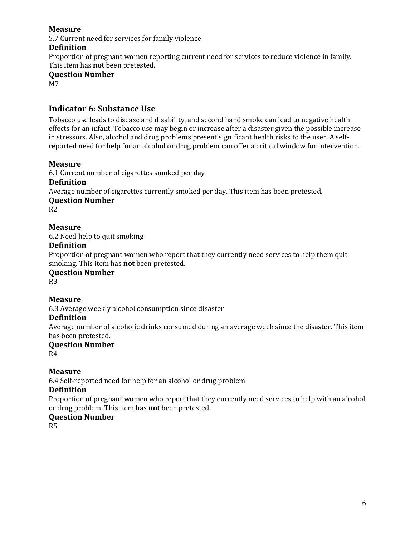5.7 Current need for services for family violence

#### **Definition**

Proportion of pregnant women reporting current need for services to reduce violence in family. This item has **not** been pretested.

**Question Number**

M7

## <span id="page-8-0"></span>**Indicator 6: Substance Use**

Tobacco use leads to disease and disability, and second hand smoke can lead to negative health effects for an infant. Tobacco use may begin or increase after a disaster given the possible increase in stressors. Also, alcohol and drug problems present significant health risks to the user. A selfreported need for help for an alcohol or drug problem can offer a critical window for intervention.

#### **Measure**

6.1 Current number of cigarettes smoked per day

#### **Definition**

Average number of cigarettes currently smoked per day. This item has been pretested.

#### **Question Number**

R2

## **Measure**

6.2 Need help to quit smoking

#### **Definition**

Proportion of pregnant women who report that they currently need services to help them quit smoking. This item has **not** been pretested.

#### **Question Number**

R3

#### **Measure**

6.3 Average weekly alcohol consumption since disaster

#### **Definition**

Average number of alcoholic drinks consumed during an average week since the disaster. This item has been pretested.

#### **Question Number**

R4

#### **Measure**

6.4 Self-reported need for help for an alcohol or drug problem

#### **Definition**

Proportion of pregnant women who report that they currently need services to help with an alcohol or drug problem. This item has **not** been pretested.

#### **Question Number**

R5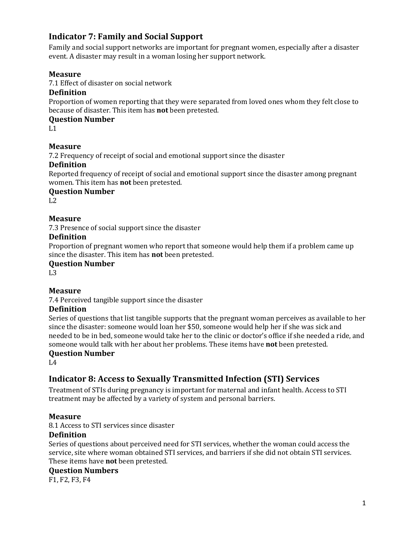## <span id="page-9-0"></span>**Indicator 7: Family and Social Support**

Family and social support networks are important for pregnant women, especially after a disaster event. A disaster may result in a woman losing her support network.

## **Measure**

7.1 Effect of disaster on social network

#### **Definition**

Proportion of women reporting that they were separated from loved ones whom they felt close to because of disaster. This item has **not** been pretested.

## **Question Number**

 $L1$ 

## **Measure**

7.2 Frequency of receipt of social and emotional support since the disaster

#### **Definition**

Reported frequency of receipt of social and emotional support since the disaster among pregnant women. This item has **not** been pretested.

#### **Question Number**

 $L2$ 

## **Measure**

7.3 Presence of social support since the disaster

#### **Definition**

Proportion of pregnant women who report that someone would help them if a problem came up since the disaster. This item has **not** been pretested.

#### **Question Number**

L3

## **Measure**

7.4 Perceived tangible support since the disaster

### **Definition**

Series of questions that list tangible supports that the pregnant woman perceives as available to her since the disaster: someone would loan her \$50, someone would help her if she was sick and needed to be in bed, someone would take her to the clinic or doctor's office if she needed a ride, and someone would talk with her about her problems. These items have **not** been pretested.

#### **Question Number**

 $L4$ 

## <span id="page-9-1"></span>**Indicator 8: Access to Sexually Transmitted Infection (STI) Services**

Treatment of STIs during pregnancy is important for maternal and infant health. Access to STI treatment may be affected by a variety of system and personal barriers.

#### **Measure**

8.1 Access to STI services since disaster

#### **Definition**

Series of questions about perceived need for STI services, whether the woman could access the service, site where woman obtained STI services, and barriers if she did not obtain STI services. These items have **not** been pretested.

#### **Question Numbers**

F1, F2, F3, F4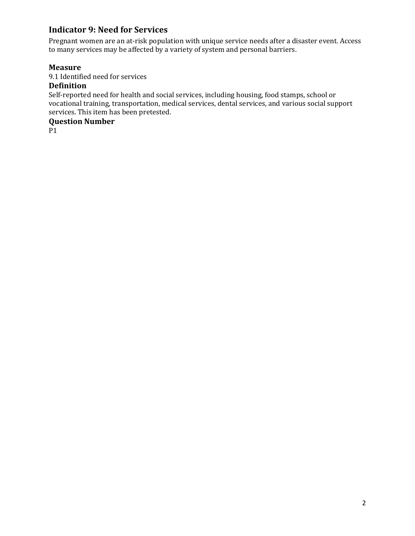## <span id="page-10-0"></span>**Indicator 9: Need for Services**

Pregnant women are an at-risk population with unique service needs after a disaster event. Access to many services may be affected by a variety of system and personal barriers.

## **Measure**

9.1 Identified need for services

## **Definition**

Self-reported need for health and social services, including housing, food stamps, school or vocational training, transportation, medical services, dental services, and various social support services. This item has been pretested.

## **Question Number**

P1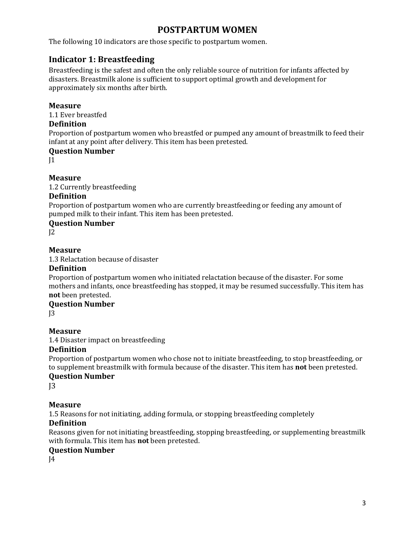## **POSTPARTUM WOMEN**

<span id="page-11-0"></span>The following 10 indicators are those specific to postpartum women.

## <span id="page-11-1"></span>**Indicator 1: Breastfeeding**

Breastfeeding is the safest and often the only reliable source of nutrition for infants affected by disasters. Breastmilk alone is sufficient to support optimal growth and development for approximately six months after birth.

#### **Measure**

1.1 Ever breastfed

#### **Definition**

Proportion of postpartum women who breastfed or pumped any amount of breastmilk to feed their infant at any point after delivery. This item has been pretested.

#### **Question Number**

 $|1|$ 

#### **Measure**

1.2 Currently breastfeeding

#### **Definition**

Proportion of postpartum women who are currently breastfeeding or feeding any amount of pumped milk to their infant. This item has been pretested.

#### **Question Number**

 $12$ 

#### **Measure**

1.3 Relactation because of disaster

#### **Definition**

Proportion of postpartum women who initiated relactation because of the disaster. For some mothers and infants, once breastfeeding has stopped, it may be resumed successfully. This item has **not** been pretested.

## **Question Number**

 $13$ 

#### **Measure**

1.4 Disaster impact on breastfeeding

#### **Definition**

Proportion of postpartum women who chose not to initiate breastfeeding, to stop breastfeeding, or to supplement breastmilk with formula because of the disaster. This item has **not** been pretested.

### **Question Number**

 $13$ 

#### **Measure**

1.5 Reasons for not initiating, adding formula, or stopping breastfeeding completely

#### **Definition**

Reasons given for not initiating breastfeeding, stopping breastfeeding, or supplementing breastmilk with formula. This item has **not** been pretested.

#### **Question Number**

 $I<sub>4</sub>$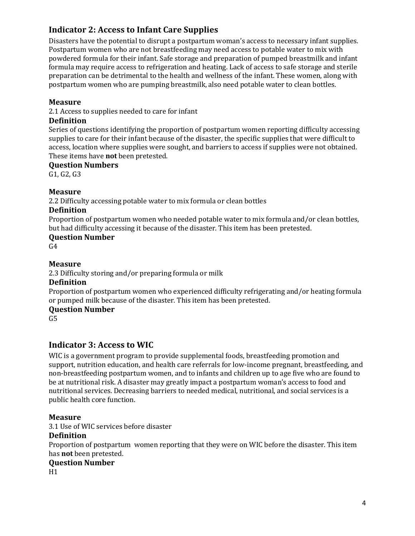## <span id="page-12-0"></span>**Indicator 2: Access to Infant Care Supplies**

Disasters have the potential to disrupt a postpartum woman's access to necessary infant supplies. Postpartum women who are not breastfeeding may need access to potable water to mix with powdered formula for their infant. Safe storage and preparation of pumped breastmilk and infant formula may require access to refrigeration and heating. Lack of access to safe storage and sterile preparation can be detrimental to the health and wellness of the infant. These women, along with postpartum women who are pumping breastmilk, also need potable water to clean bottles.

#### **Measure**

2.1 Access to supplies needed to care for infant

#### **Definition**

Series of questions identifying the proportion of postpartum women reporting difficulty accessing supplies to care for their infant because of the disaster, the specific supplies that were difficult to access, location where supplies were sought, and barriers to access if supplies were not obtained. These items have **not** been pretested.

#### **Question Numbers**

G1, G2, G3

#### **Measure**

2.2 Difficulty accessing potable water to mix formula or clean bottles

#### **Definition**

Proportion of postpartum women who needed potable water to mix formula and/or clean bottles, but had difficulty accessing it because of the disaster. This item has been pretested.

#### **Question Number**

 $G<sub>4</sub>$ 

## **Measure**

2.3 Difficulty storing and/or preparing formula or milk

#### **Definition**

Proportion of postpartum women who experienced difficulty refrigerating and/or heating formula or pumped milk because of the disaster. This item has been pretested.

#### **Question Number**

 $G<sub>5</sub>$ 

## <span id="page-12-1"></span>**Indicator 3: Access to WIC**

WIC is a government program to provide supplemental foods, breastfeeding promotion and support, nutrition education, and health care referrals for low-income pregnant, breastfeeding, and non-breastfeeding postpartum women, and to infants and children up to age five who are found to be at nutritional risk. A disaster may greatly impact a postpartum woman's access to food and nutritional services. Decreasing barriers to needed medical, nutritional, and social services is a public health core function.

#### **Measure**

3.1 Use of WIC services before disaster

#### **Definition**

Proportion of postpartum women reporting that they were on WIC before the disaster. This item has **not** been pretested.

#### **Question Number**

H1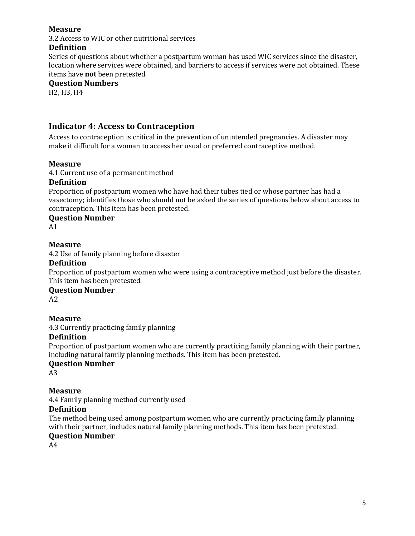3.2 Access to WIC or other nutritional services

## **Definition**

Series of questions about whether a postpartum woman has used WIC services since the disaster, location where services were obtained, and barriers to access if services were not obtained. These items have **not** been pretested.

#### **Question Numbers**

H2, H3, H4

## <span id="page-13-0"></span>**Indicator 4: Access to Contraception**

Access to contraception is critical in the prevention of unintended pregnancies. A disaster may make it difficult for a woman to access her usual or preferred contraceptive method.

#### **Measure**

4.1 Current use of a permanent method

#### **Definition**

Proportion of postpartum women who have had their tubes tied or whose partner has had a vasectomy; identifies those who should not be asked the series of questions below about access to contraception. This item has been pretested.

#### **Question Number**

A1

#### **Measure**

4.2 Use of family planning before disaster

#### **Definition**

Proportion of postpartum women who were using a contraceptive method just before the disaster. This item has been pretested.

#### **Question Number**

 $A2$ 

#### **Measure**

4.3 Currently practicing family planning

#### **Definition**

Proportion of postpartum women who are currently practicing family planning with their partner, including natural family planning methods. This item has been pretested.

#### **Question Number**

A3

#### **Measure**

4.4 Family planning method currently used

#### **Definition**

The method being used among postpartum women who are currently practicing family planning with their partner, includes natural family planning methods. This item has been pretested.

#### **Question Number**

A4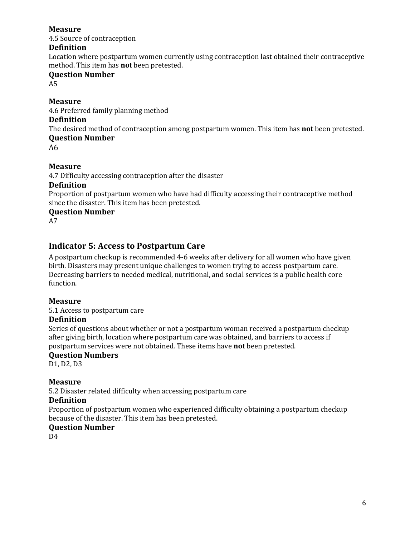4.5 Source of contraception

#### **Definition**

Location where postpartum women currently using contraception last obtained their contraceptive method. This item has **not** been pretested.

## **Question Number**

A5

## **Measure**

4.6 Preferred family planning method

#### **Definition**

The desired method of contraception among postpartum women. This item has **not** been pretested. **Question Number**

A6

## **Measure**

4.7 Difficulty accessing contraception after the disaster

#### **Definition**

Proportion of postpartum women who have had difficulty accessing their contraceptive method since the disaster. This item has been pretested.

**Question Number**

A7

## <span id="page-14-0"></span>**Indicator 5: Access to Postpartum Care**

A postpartum checkup is recommended 4-6 weeks after delivery for all women who have given birth. Disasters may present unique challenges to women trying to access postpartum care. Decreasing barriers to needed medical, nutritional, and social services is a public health core function.

#### **Measure**

5.1 Access to postpartum care

#### **Definition**

Series of questions about whether or not a postpartum woman received a postpartum checkup after giving birth, location where postpartum care was obtained, and barriers to access if postpartum services were not obtained. These items have **not** been pretested.

#### **Question Numbers**

D1, D2, D3

## **Measure**

5.2 Disaster related difficulty when accessing postpartum care

#### **Definition**

Proportion of postpartum women who experienced difficulty obtaining a postpartum checkup because of the disaster. This item has been pretested.

#### **Question Number**

D4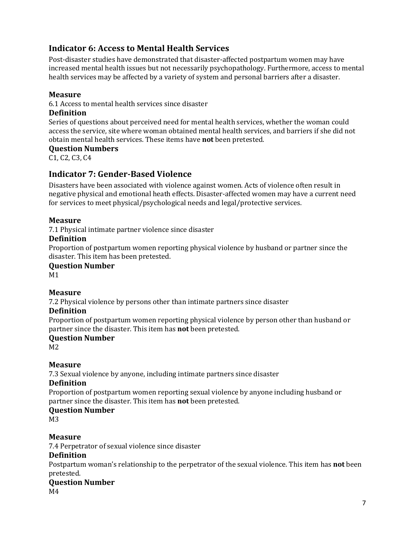## <span id="page-15-0"></span>**Indicator 6: Access to Mental Health Services**

Post-disaster studies have demonstrated that disaster-affected postpartum women may have increased mental health issues but not necessarily psychopathology. Furthermore, access to mental health services may be affected by a variety of system and personal barriers after a disaster.

#### **Measure**

6.1 Access to mental health services since disaster

## **Definition**

Series of questions about perceived need for mental health services, whether the woman could access the service, site where woman obtained mental health services, and barriers if she did not obtain mental health services. These items have **not** been pretested.

#### **Question Numbers**

<span id="page-15-1"></span>C1, C2, C3, C4

## **Indicator 7: Gender-Based Violence**

Disasters have been associated with violence against women. Acts of violence often result in negative physical and emotional heath effects. Disaster-affected women may have a current need for services to meet physical/psychological needs and legal/protective services.

## **Measure**

7.1 Physical intimate partner violence since disaster

#### **Definition**

Proportion of postpartum women reporting physical violence by husband or partner since the disaster. This item has been pretested.

#### **Question Number**

M1

## **Measure**

7.2 Physical violence by persons other than intimate partners since disaster

#### **Definition**

Proportion of postpartum women reporting physical violence by person other than husband or partner since the disaster. This item has **not** been pretested.

#### **Question Number**

M2

## **Measure**

7.3 Sexual violence by anyone, including intimate partners since disaster

#### **Definition**

Proportion of postpartum women reporting sexual violence by anyone including husband or partner since the disaster. This item has **not** been pretested.

#### **Question Number**

M3

#### **Measure**

7.4 Perpetrator of sexual violence since disaster

#### **Definition**

Postpartum woman's relationship to the perpetrator of the sexual violence. This item has **not** been pretested.

## **Question Number**

M4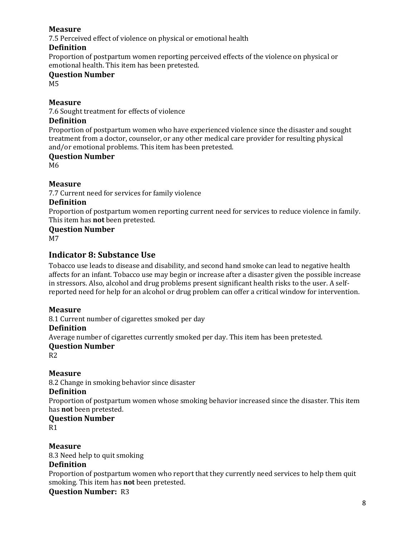7.5 Perceived effect of violence on physical or emotional health

#### **Definition**

Proportion of postpartum women reporting perceived effects of the violence on physical or emotional health. This item has been pretested.

## **Question Number**

M5

## **Measure**

7.6 Sought treatment for effects of violence

#### **Definition**

Proportion of postpartum women who have experienced violence since the disaster and sought treatment from a doctor, counselor, or any other medical care provider for resulting physical and/or emotional problems. This item has been pretested.

#### **Question Number**

M6

## **Measure**

7.7 Current need for services for family violence

#### **Definition**

Proportion of postpartum women reporting current need for services to reduce violence in family. This item has **not** been pretested.

#### **Question Number**

<span id="page-16-0"></span>M7

## **Indicator 8: Substance Use**

Tobacco use leads to disease and disability, and second hand smoke can lead to negative health affects for an infant. Tobacco use may begin or increase after a disaster given the possible increase in stressors. Also, alcohol and drug problems present significant health risks to the user. A selfreported need for help for an alcohol or drug problem can offer a critical window for intervention.

#### **Measure**

8.1 Current number of cigarettes smoked per day

#### **Definition**

Average number of cigarettes currently smoked per day. This item has been pretested.

#### **Question Number**

R2

#### **Measure**

8.2 Change in smoking behavior since disaster

#### **Definition**

Proportion of postpartum women whose smoking behavior increased since the disaster. This item has **not** been pretested.

## **Question Number**

R1

**Measure**

8.3 Need help to quit smoking

## **Definition**

Proportion of postpartum women who report that they currently need services to help them quit smoking. This item has **not** been pretested.

**Question Number:** R3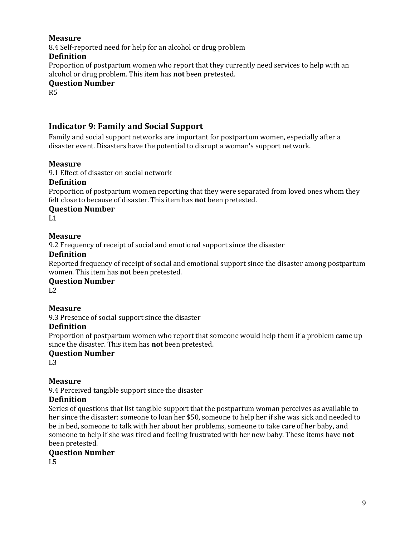8.4 Self-reported need for help for an alcohol or drug problem **Definition**

Proportion of postpartum women who report that they currently need services to help with an alcohol or drug problem. This item has **not** been pretested.

#### **Question Number**

R5

## <span id="page-17-0"></span>**Indicator 9: Family and Social Support**

Family and social support networks are important for postpartum women, especially after a disaster event. Disasters have the potential to disrupt a woman's support network.

## **Measure**

9.1 Effect of disaster on social network

#### **Definition**

Proportion of postpartum women reporting that they were separated from loved ones whom they felt close to because of disaster. This item has **not** been pretested.

## **Question Number**

 $L1$ 

## **Measure**

9.2 Frequency of receipt of social and emotional support since the disaster

## **Definition**

Reported frequency of receipt of social and emotional support since the disaster among postpartum women. This item has **not** been pretested.

#### **Question Number**

 $L2$ 

## **Measure**

9.3 Presence of social support since the disaster

#### **Definition**

Proportion of postpartum women who report that someone would help them if a problem came up since the disaster. This item has **not** been pretested.

#### **Question Number**

 $L<sub>3</sub>$ 

## **Measure**

9.4 Perceived tangible support since the disaster

#### **Definition**

Series of questions that list tangible support that the postpartum woman perceives as available to her since the disaster: someone to loan her \$50, someone to help her if she was sick and needed to be in bed, someone to talk with her about her problems, someone to take care of her baby, and someone to help if she was tired and feeling frustrated with her new baby. These items have **not** been pretested.

## **Question Number**

L5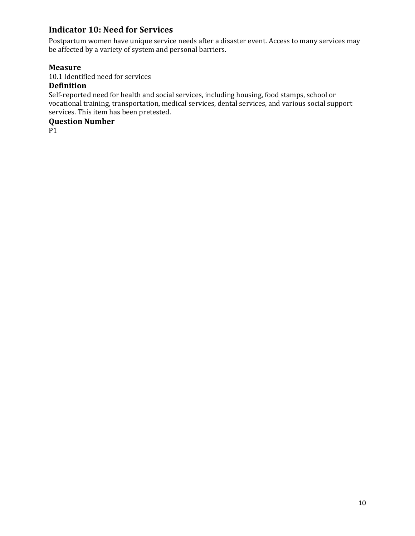## <span id="page-18-0"></span>**Indicator 10: Need for Services**

Postpartum women have unique service needs after a disaster event. Access to many services may be affected by a variety of system and personal barriers.

## **Measure**

10.1 Identified need for services

## **Definition**

Self-reported need for health and social services, including housing, food stamps, school or vocational training, transportation, medical services, dental services, and various social support services. This item has been pretested.

## **Question Number**

P1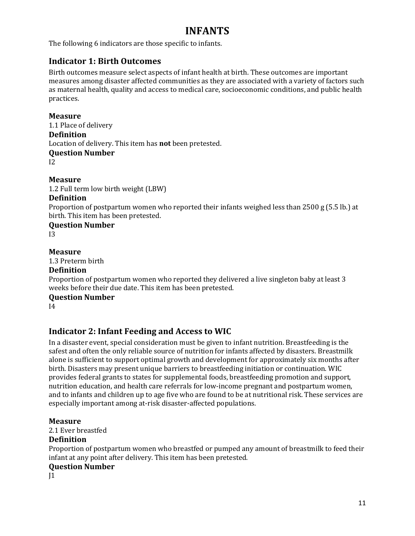## **INFANTS**

<span id="page-19-0"></span>The following 6 indicators are those specific to infants.

## <span id="page-19-1"></span>**Indicator 1: Birth Outcomes**

Birth outcomes measure select aspects of infant health at birth. These outcomes are important measures among disaster affected communities as they are associated with a variety of factors such as maternal health, quality and access to medical care, socioeconomic conditions, and public health practices.

#### **Measure**

1.1 Place of delivery **Definition** Location of delivery. This item has **not** been pretested. **Question Number**  $12<sup>°</sup>$ 

**Measure**

1.2 Full term low birth weight (LBW)

#### **Definition**

Proportion of postpartum women who reported their infants weighed less than 2500 g (5.5 lb.) at birth. This item has been pretested.

**Question Number**  $13<sup>°</sup>$ 

#### **Measure**

1.3 Preterm birth

#### **Definition**

Proportion of postpartum women who reported they delivered a live singleton baby at least 3 weeks before their due date. This item has been pretested.

#### **Question Number**

I4

## <span id="page-19-2"></span>**Indicator 2: Infant Feeding and Access to WIC**

In a disaster event, special consideration must be given to infant nutrition. Breastfeeding is the safest and often the only reliable source of nutrition for infants affected by disasters. Breastmilk alone is sufficient to support optimal growth and development for approximately six months after birth. Disasters may present unique barriers to breastfeeding initiation or continuation. WIC provides federal grants to states for supplemental foods, breastfeeding promotion and support, nutrition education, and health care referrals for low-income pregnant and postpartum women, and to infants and children up to age five who are found to be at nutritional risk. These services are especially important among at-risk disaster-affected populations.

#### **Measure**

2.1 Ever breastfed

## **Definition**

Proportion of postpartum women who breastfed or pumped any amount of breastmilk to feed their infant at any point after delivery. This item has been pretested.

#### **Question Number**

 $11$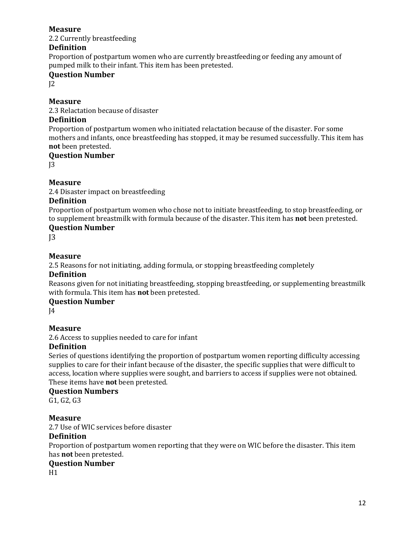2.2 Currently breastfeeding

## **Definition**

Proportion of postpartum women who are currently breastfeeding or feeding any amount of pumped milk to their infant. This item has been pretested.

## **Question Number**

 $12$ 

#### **Measure**

2.3 Relactation because of disaster

#### **Definition**

Proportion of postpartum women who initiated relactation because of the disaster. For some mothers and infants, once breastfeeding has stopped, it may be resumed successfully. This item has **not** been pretested.

## **Question Number**

 $13$ 

## **Measure**

2.4 Disaster impact on breastfeeding

## **Definition**

Proportion of postpartum women who chose not to initiate breastfeeding, to stop breastfeeding, or to supplement breastmilk with formula because of the disaster. This item has **not** been pretested.

## **Question Number**

 $13$ 

## **Measure**

2.5 Reasons for not initiating, adding formula, or stopping breastfeeding completely

## **Definition**

Reasons given for not initiating breastfeeding, stopping breastfeeding, or supplementing breastmilk with formula. This item has **not** been pretested.

## **Question Number**

 $I<sub>4</sub>$ 

## **Measure**

2.6 Access to supplies needed to care for infant

## **Definition**

Series of questions identifying the proportion of postpartum women reporting difficulty accessing supplies to care for their infant because of the disaster, the specific supplies that were difficult to access, location where supplies were sought, and barriers to access if supplies were not obtained. These items have **not** been pretested.

#### **Question Numbers**

G1, G2, G3

## **Measure**

2.7 Use of WIC services before disaster

#### **Definition**

Proportion of postpartum women reporting that they were on WIC before the disaster. This item has **not** been pretested.

#### **Question Number**

H1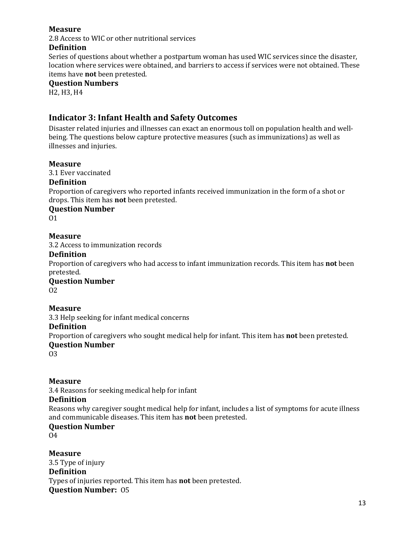2.8 Access to WIC or other nutritional services

#### **Definition**

Series of questions about whether a postpartum woman has used WIC services since the disaster, location where services were obtained, and barriers to access if services were not obtained. These items have **not** been pretested.

#### **Question Numbers**

H2, H3, H4

## <span id="page-21-0"></span>**Indicator 3: Infant Health and Safety Outcomes**

Disaster related injuries and illnesses can exact an enormous toll on population health and wellbeing. The questions below capture protective measures (such as immunizations) as well as illnesses and injuries.

#### **Measure**

3.1 Ever vaccinated

#### **Definition**

Proportion of caregivers who reported infants received immunization in the form of a shot or drops. This item has **not** been pretested.

## **Question Number**

O1

#### **Measure**

3.2 Access to immunization records

#### **Definition**

Proportion of caregivers who had access to infant immunization records. This item has **not** been pretested.

**Question Number** O2

#### **Measure**

3.3 Help seeking for infant medical concerns

#### **Definition**

Proportion of caregivers who sought medical help for infant. This item has **not** been pretested.

#### **Question Number**

O3

#### **Measure**

3.4 Reasons for seeking medical help for infant

#### **Definition**

Reasons why caregiver sought medical help for infant, includes a list of symptoms for acute illness and communicable diseases. This item has **not** been pretested.

#### **Question Number**

 $04$ 

**Measure** 3.5 Type of injury **Definition** Types of injuries reported. This item has **not** been pretested. **Question Number:** O5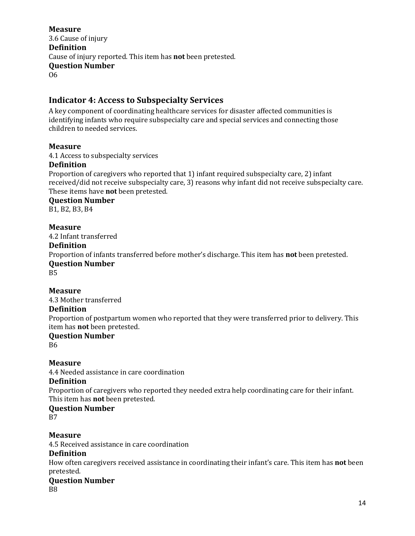3.6 Cause of injury **Definition** Cause of injury reported. This item has **not** been pretested. **Question Number** O6

## <span id="page-22-0"></span>**Indicator 4: Access to Subspecialty Services**

A key component of coordinating healthcare services for disaster affected communities is identifying infants who require subspecialty care and special services and connecting those children to needed services.

#### **Measure**

4.1 Access to subspecialty services

#### **Definition**

Proportion of caregivers who reported that 1) infant required subspecialty care, 2) infant received/did not receive subspecialty care, 3) reasons why infant did not receive subspecialty care. These items have **not** been pretested.

**Question Number**

B1, B2, B3, B4

#### **Measure**

4.2 Infant transferred

#### **Definition**

Proportion of infants transferred before mother's discharge. This item has **not** been pretested. **Question Number**

B5

#### **Measure**

4.3 Mother transferred

#### **Definition**

Proportion of postpartum women who reported that they were transferred prior to delivery. This item has **not** been pretested.

## **Question Number**

B6

#### **Measure**

4.4 Needed assistance in care coordination

#### **Definition**

Proportion of caregivers who reported they needed extra help coordinating care for their infant. This item has **not** been pretested.

#### **Question Number**

B7

#### **Measure**

4.5 Received assistance in care coordination

#### **Definition**

How often caregivers received assistance in coordinating their infant's care. This item has **not** been pretested.

## **Question Number**

B8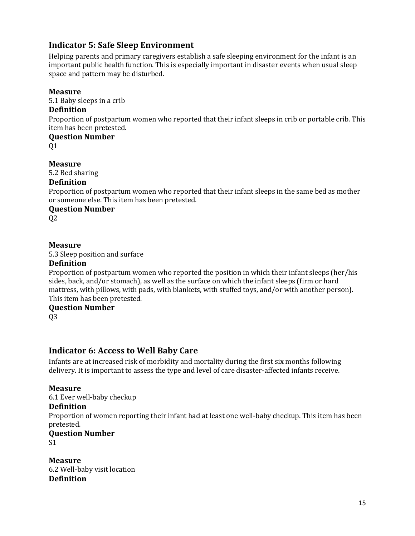## <span id="page-23-0"></span>**Indicator 5: Safe Sleep Environment**

Helping parents and primary caregivers establish a safe sleeping environment for the infant is an important public health function. This is especially important in disaster events when usual sleep space and pattern may be disturbed.

#### **Measure**

5.1 Baby sleeps in a crib

#### **Definition**

Proportion of postpartum women who reported that their infant sleeps in crib or portable crib. This item has been pretested.

**Question Number** Q1

**Measure**

5.2 Bed sharing

#### **Definition**

Proportion of postpartum women who reported that their infant sleeps in the same bed as mother or someone else. This item has been pretested.

## **Question Number**

Q2

## **Measure**

5.3 Sleep position and surface

#### **Definition**

Proportion of postpartum women who reported the position in which their infant sleeps (her/his sides, back, and/or stomach), as well as the surface on which the infant sleeps (firm or hard mattress, with pillows, with pads, with blankets, with stuffed toys, and/or with another person). This item has been pretested.

#### **Question Number**

Q3

## <span id="page-23-1"></span>**Indicator 6: Access to Well Baby Care**

Infants are at increased risk of morbidity and mortality during the first six months following delivery. It is important to assess the type and level of care disaster-affected infants receive.

#### **Measure**

6.1 Ever well-baby checkup

#### **Definition**

Proportion of women reporting their infant had at least one well-baby checkup. This item has been pretested.

#### **Question Number**

S1

**Measure** 6.2 Well-baby visit location **Definition**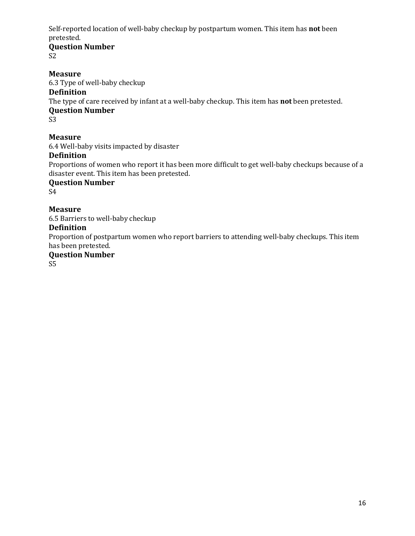Self-reported location of well-baby checkup by postpartum women. This item has **not** been pretested.

## **Question Number**

S2

#### **Measure**

6.3 Type of well-baby checkup

#### **Definition**

The type of care received by infant at a well-baby checkup. This item has **not** been pretested.

#### **Question Number**

S3

## **Measure**

6.4 Well-baby visits impacted by disaster

#### **Definition**

Proportions of women who report it has been more difficult to get well-baby checkups because of a disaster event. This item has been pretested.

#### **Question Number**

S4

## **Measure**

6.5 Barriers to well-baby checkup

#### **Definition**

Proportion of postpartum women who report barriers to attending well-baby checkups. This item has been pretested.

#### **Question Number**

S5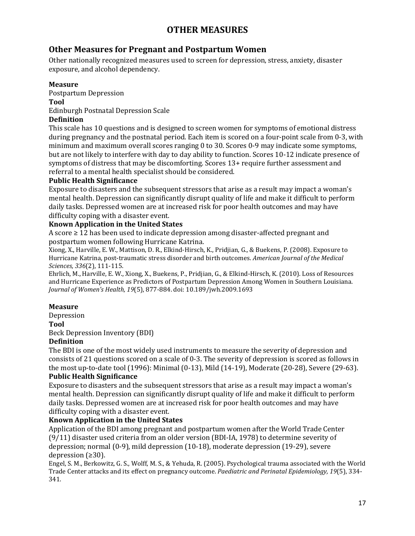## **OTHER MEASURES**

## <span id="page-25-1"></span><span id="page-25-0"></span>**Other Measures for Pregnant and Postpartum Women**

Other nationally recognized measures used to screen for depression, stress, anxiety, disaster exposure, and alcohol dependency.

#### **Measure**

Postpartum Depression **Tool**

Edinburgh Postnatal Depression Scale

#### **Definition**

This scale has 10 questions and is designed to screen women for symptoms of emotional distress during pregnancy and the postnatal period. Each item is scored on a four-point scale from 0-3, with minimum and maximum overall scores ranging 0 to 30. Scores 0-9 may indicate some symptoms, but are not likely to interfere with day to day ability to function. Scores 10-12 indicate presence of symptoms of distress that may be discomforting. Scores 13+ require further assessment and referral to a mental health specialist should be considered.

#### **Public Health Significance**

Exposure to disasters and the subsequent stressors that arise as a result may impact a woman's mental health. Depression can significantly disrupt quality of life and make it difficult to perform daily tasks. Depressed women are at increased risk for poor health outcomes and may have difficulty coping with a disaster event.

#### **Known Application in the United States**

A score  $\geq 12$  has been used to indicate depression among disaster-affected pregnant and postpartum women following Hurricane Katrina.

Xiong, X., Harville, E. W., Mattison, D. R., Elkind-Hirsch, K., Pridjian, G., & Buekens, P. (2008). Exposure to Hurricane Katrina, post-traumatic stress disorder and birth outcomes. *American Journal of the Medical Sciences, 336*(2), 111-115.

Ehrlich, M., Harville, E. W., Xiong, X., Buekens, P., Pridjian, G., & Elkind-Hirsch, K. (2010). Loss of Resources and Hurricane Experience as Predictors of Postpartum Depression Among Women in Southern Louisiana. *Journal of Women's Health, 19*(5), 877-884. doi: 10.189/jwh.2009.1693

#### **Measure**

Depression

#### **Tool**

Beck Depression Inventory (BDI)

#### **Definition**

The BDI is one of the most widely used instruments to measure the severity of depression and consists of 21 questions scored on a scale of 0-3. The severity of depression is scored as follows in the most up-to-date tool (1996): Minimal (0-13), Mild (14-19), Moderate (20-28), Severe (29-63). **Public Health Significance**

Exposure to disasters and the subsequent stressors that arise as a result may impact a woman's mental health. Depression can significantly disrupt quality of life and make it difficult to perform daily tasks. Depressed women are at increased risk for poor health outcomes and may have difficulty coping with a disaster event.

#### **Known Application in the United States**

Application of the BDI among pregnant and postpartum women after the World Trade Center (9/11) disaster used criteria from an older version (BDI-IA, 1978) to determine severity of depression; normal (0-9), mild depression (10-18), moderate depression (19-29), severe depression (≥30).

Engel, S. M., Berkowitz, G. S., Wolff, M. S., & Yehuda, R. (2005). Psychological trauma associated with the World Trade Center attacks and its effect on pregnancy outcome. *Paediatric and Perinatal Epidemiology, 19*(5), 334- 341.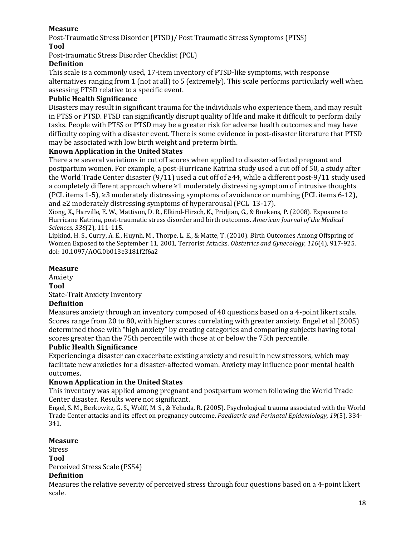Post-Traumatic Stress Disorder (PTSD)/ Post Traumatic Stress Symptoms (PTSS) **Tool**

Post-traumatic Stress Disorder Checklist (PCL)

#### **Definition**

This scale is a commonly used, 17-item inventory of PTSD-like symptoms, with response alternatives ranging from 1 (not at all) to 5 (extremely). This scale performs particularly well when assessing PTSD relative to a specific event.

#### **Public Health Significance**

Disasters may result in significant trauma for the individuals who experience them, and may result in PTSS or PTSD. PTSD can significantly disrupt quality of life and make it difficult to perform daily tasks. People with PTSS or PTSD may be a greater risk for adverse health outcomes and may have difficulty coping with a disaster event. There is some evidence in post-disaster literature that PTSD may be associated with low birth weight and preterm birth.

#### **Known Application in the United States**

There are several variations in cut off scores when applied to disaster-affected pregnant and postpartum women. For example, a post-Hurricane Katrina study used a cut off of 50, a study after the World Trade Center disaster (9/11) used a cut off of ≥44, while a different post-9/11 study used a completely different approach where ≥1 moderately distressing symptom of intrusive thoughts (PCL items 1-5), ≥3 moderately distressing symptoms of avoidance or numbing (PCL items 6-12), and ≥2 moderately distressing symptoms of hyperarousal (PCL 13-17).

Xiong, X., Harville, E. W., Mattison, D. R., Elkind-Hirsch, K., Pridjian, G., & Buekens, P. (2008). Exposure to Hurricane Katrina, post-traumatic stress disorder and birth outcomes. *American Journal of the Medical Sciences, 336*(2), 111-115.

Lipkind, H. S., Curry, A. E., Huynh, M., Thorpe, L. E., & Matte, T. (2010). Birth Outcomes Among Offspring of Women Exposed to the September 11, 2001, Terrorist Attacks. *Obstetrics and Gynecology, 116*(4), 917-925. doi: 10.1097/AOG.0b013e3181f2f6a2

#### **Measure**

Anxiety

**Tool**

State-Trait Anxiety Inventory

#### **Definition**

Measures anxiety through an inventory composed of 40 questions based on a 4-point likert scale. Scores range from 20 to 80, with higher scores correlating with greater anxiety. Engel et al (2005) determined those with "high anxiety" by creating categories and comparing subjects having total scores greater than the 75th percentile with those at or below the 75th percentile.

#### **Public Health Significance**

Experiencing a disaster can exacerbate existing anxiety and result in new stressors, which may facilitate new anxieties for a disaster-affected woman. Anxiety may influence poor mental health outcomes.

#### **Known Application in the United States**

This inventory was applied among pregnant and postpartum women following the World Trade Center disaster. Results were not significant.

Engel, S. M., Berkowitz, G. S., Wolff, M. S., & Yehuda, R. (2005). Psychological trauma associated with the World Trade Center attacks and its effect on pregnancy outcome. *Paediatric and Perinatal Epidemiology, 19*(5), 334- 341.

#### **Measure**

Stress

**Tool**

Perceived Stress Scale (PSS4)

#### **Definition**

Measures the relative severity of perceived stress through four questions based on a 4-point likert scale.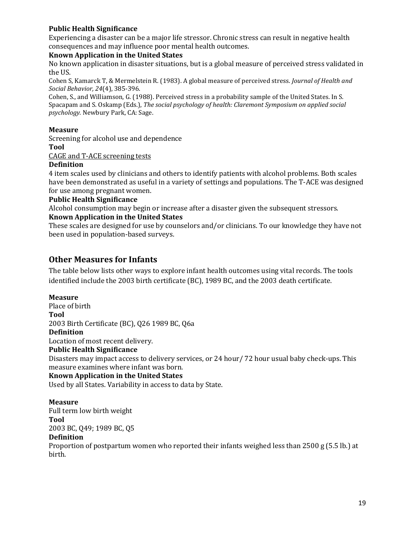#### **Public Health Significance**

Experiencing a disaster can be a major life stressor. Chronic stress can result in negative health consequences and may influence poor mental health outcomes.

#### **Known Application in the United States**

No known application in disaster situations, but is a global measure of perceived stress validated in the US.

Cohen S, Kamarck T, & Mermelstein R. (1983). A global measure of perceived stress. *Journal of Health and Social Behavior, 24*(4), 385-396.

Cohen, S., and Williamson, G. (1988). Perceived stress in a probability sample of the United States. In S. Spacapam and S. Oskamp (Eds.), *The social psychology of health: Claremont Symposium on applied social psychology.* Newbury Park, CA: Sage.

#### **Measure**

Screening for alcohol use and dependence **Tool**

[CAGE and T-ACE screening tests](http://pubs.niaaa.nih.gov/publications/arh28-2/78-79.htm)

#### **Definition**

4 item scales used by clinicians and others to identify patients with alcohol problems. Both scales have been demonstrated as useful in a variety of settings and populations. The T-ACE was designed for use among pregnant women.

#### **Public Health Significance**

Alcohol consumption may begin or increase after a disaster given the subsequent stressors.

#### **Known Application in the United States**

These scales are designed for use by counselors and/or clinicians. To our knowledge they have not been used in population-based surveys.

## <span id="page-27-0"></span>**Other Measures for Infants**

The table below lists other ways to explore infant health outcomes using vital records. The tools identified include the 2003 birth certificate (BC), 1989 BC, and the 2003 death certificate.

#### **Measure**

Place of birth **Tool** 2003 Birth Certificate (BC), Q26 1989 BC, Q6a **Definition** Location of most recent delivery. **Public Health Significance** Disasters may impact access to delivery services, or 24 hour/ 72 hour usual baby check-ups. This measure examines where infant was born. **Known Application in the United States**

Used by all States. Variability in access to data by State.

#### **Measure**

Full term low birth weight

**Tool**

2003 BC, Q49; 1989 BC, Q5

#### **Definition**

Proportion of postpartum women who reported their infants weighed less than 2500 g (5.5 lb.) at birth.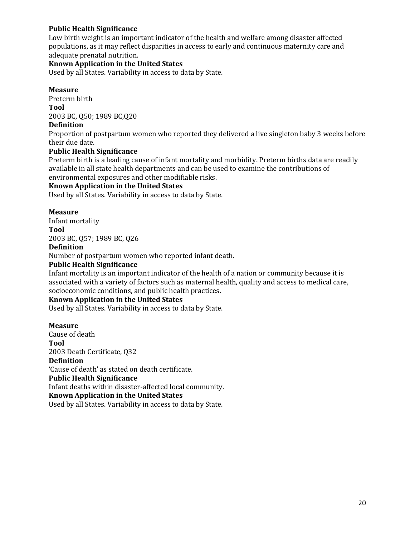#### **Public Health Significance**

Low birth weight is an important indicator of the health and welfare among disaster affected populations, as it may reflect disparities in access to early and continuous maternity care and adequate prenatal nutrition.

#### **Known Application in the United States**

Used by all States. Variability in access to data by State.

#### **Measure**

Preterm birth **Tool** 2003 BC, Q50; 1989 BC,Q20

## **Definition**

Proportion of postpartum women who reported they delivered a live singleton baby 3 weeks before their due date.

#### **Public Health Significance**

Preterm birth is a leading cause of infant mortality and morbidity. Preterm births data are readily available in all state health departments and can be used to examine the contributions of environmental exposures and other modifiable risks.

#### **Known Application in the United States**

Used by all States. Variability in access to data by State.

#### **Measure**

Infant mortality **Tool**

2003 BC, Q57; 1989 BC, Q26

#### **Definition**

Number of postpartum women who reported infant death.

#### **Public Health Significance**

Infant mortality is an important indicator of the health of a nation or community because it is associated with a variety of factors such as maternal health, quality and access to medical care, socioeconomic conditions, and public health practices.

#### **Known Application in the United States**

Used by all States. Variability in access to data by State.

#### **Measure**

Cause of death **Tool** 2003 Death Certificate, Q32 **Definition** 'Cause of death' as stated on death certificate. **Public Health Significance** Infant deaths within disaster-affected local community. **Known Application in the United States** Used by all States. Variability in access to data by State.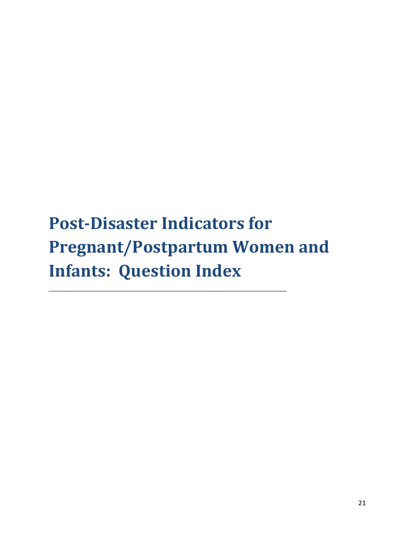# <span id="page-29-0"></span>**Post-Disaster Indicators for Pregnant/Postpartum Women and Infants: Question Index**

\_\_\_\_\_\_\_\_\_\_\_\_\_\_\_\_\_\_\_\_\_\_\_\_\_\_\_\_\_\_\_\_\_\_\_\_\_\_\_\_\_\_\_\_\_\_\_\_\_\_\_\_\_\_\_\_\_\_\_\_\_\_\_\_\_\_\_\_\_\_\_\_\_\_\_\_\_\_\_\_\_\_\_\_\_\_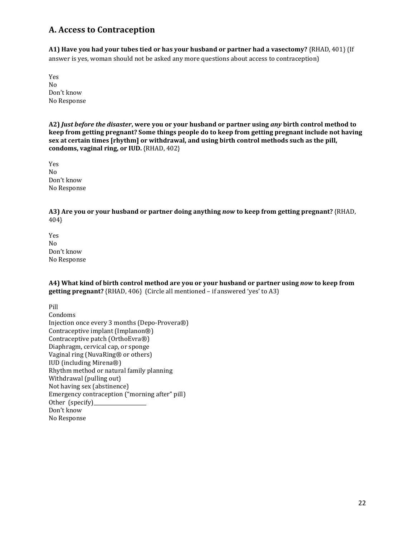## <span id="page-30-0"></span>**A. Access to Contraception**

**A1) Have you had your tubes tied or has your husband or partner had a vasectomy?** {RHAD, 401} (If answer is yes, woman should not be asked any more questions about access to contraception)

Yes No Don't know No Response

**A2)** *Just before the disaster***, were you or your husband or partner using** *any* **birth control method to keep from getting pregnant? Some things people do to keep from getting pregnant include not having sex at certain times [rhythm] or withdrawal, and using birth control methods such as the pill, condoms, vaginal ring, or IUD.** {RHAD, 402}

Yes No Don't know No Response

**A3) Are you or your husband or partner doing anything** *now* **to keep from getting pregnant?** {RHAD, 404}

Yes No Don't know No Response

**A4) What kind of birth control method are you or your husband or partner using** *now* **to keep from getting pregnant?** {RHAD, 406} (Circle all mentioned – if answered 'yes' to A3)

Pill

Condoms Injection once every 3 months (Depo-Provera®) Contraceptive implant (Implanon®) Contraceptive patch (OrthoEvra®) Diaphragm, cervical cap, or sponge Vaginal ring (NuvaRing® or others) IUD (including Mirena®) Rhythm method or natural family planning Withdrawal (pulling out) Not having sex (abstinence) Emergency contraception ("morning after" pill) Other (specify)\_ Don't know No Response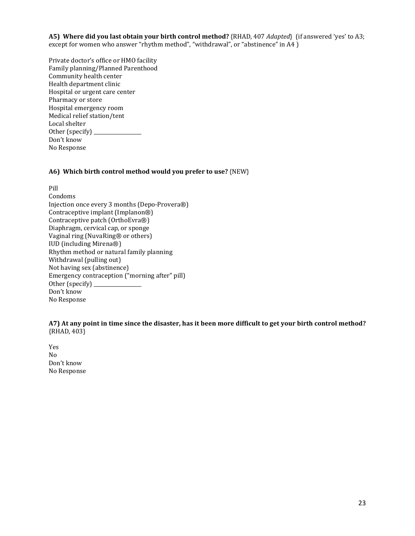**A5) Where did you last obtain your birth control method?** {RHAD, 407 *Adapted*} (if answered 'yes' to A3; except for women who answer "rhythm method", "withdrawal", or "abstinence" in A4 )

Private doctor's office or HMO facility Family planning/Planned Parenthood Community health center Health department clinic Hospital or urgent care center Pharmacy or store Hospital emergency room Medical relief station/tent Local shelter Other (specify) \_\_\_\_\_\_\_\_\_\_\_\_\_\_\_\_\_\_\_ Don't know No Response

#### **A6) Which birth control method would you prefer to use?** {NEW}

Pill Condoms Injection once every 3 months (Depo-Provera®) Contraceptive implant (Implanon®) Contraceptive patch (OrthoEvra®) Diaphragm, cervical cap, or sponge Vaginal ring (NuvaRing® or others) IUD (including Mirena®) Rhythm method or natural family planning Withdrawal (pulling out) Not having sex (abstinence) Emergency contraception ("morning after" pill) Other (specify) Don't know No Response

**A7) At any point in time since the disaster, has it been more difficult to get your birth control method?** {RHAD, 403}

Yes No Don't know No Response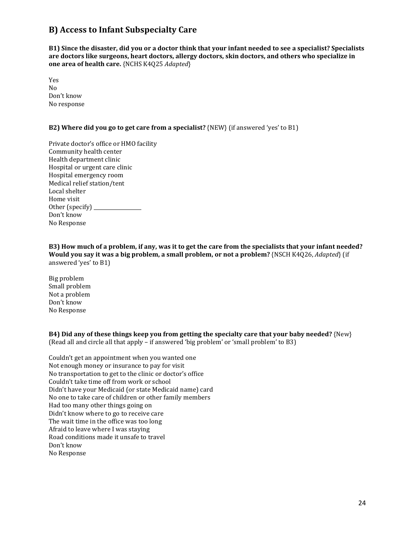## <span id="page-32-0"></span>**B) Access to Infant Subspecialty Care**

**B1) Since the disaster, did you or a doctor think that your infant needed to see a specialist? Specialists are doctors like surgeons, heart doctors, allergy doctors, skin doctors, and others who specialize in one area of health care.** {NCHS K4Q25 *Adapted*}

Yes No Don't know No response

#### **B2) Where did you go to get care from a specialist?** {NEW} (if answered 'yes' to B1)

Private doctor's office or HMO facility Community health center Health department clinic Hospital or urgent care clinic Hospital emergency room Medical relief station/tent Local shelter Home visit Other (specify) Don't know No Response

**B3) How much of a problem, if any, was it to get the care from the specialists that your infant needed? Would you say it was a big problem, a small problem, or not a problem?** {NSCH K4Q26, *Adapted*} (if answered 'yes' to B1)

Big problem Small problem Not a problem Don't know No Response

**B4) Did any of these things keep you from getting the specialty care that your baby needed?** {New} (Read all and circle all that apply – if answered 'big problem' or 'small problem' to B3)

Couldn't get an appointment when you wanted one Not enough money or insurance to pay for visit No transportation to get to the clinic or doctor's office Couldn't take time off from work or school Didn't have your Medicaid (or state Medicaid name) card No one to take care of children or other family members Had too many other things going on Didn't know where to go to receive care The wait time in the office was too long Afraid to leave where I was staying Road conditions made it unsafe to travel Don't know No Response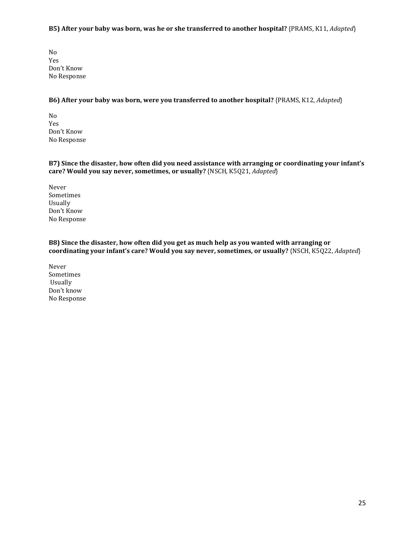#### **B5) After your baby was born, was he or she transferred to another hospital?** {PRAMS, K11, *Adapted*}

No Yes Don't Know No Response

#### **B6) After your baby was born, were you transferred to another hospital?** {PRAMS, K12, *Adapted*}

No Yes Don't Know No Response

**B7) Since the disaster, how often did you need assistance with arranging or coordinating your infant's care? Would you say never, sometimes, or usually?** {NSCH, K5Q21, *Adapted*}

Never Sometimes Usually Don't Know No Response

**B8) Since the disaster, how often did you get as much help as you wanted with arranging or coordinating your infant's care? Would you say never, sometimes, or usually?** {NSCH, K5Q22, *Adapted*}

Never Sometimes Usually Don't know No Response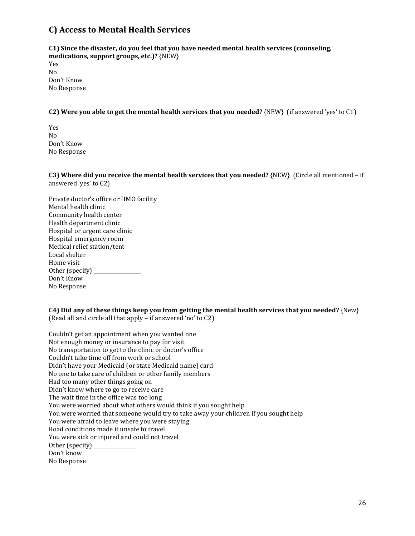## <span id="page-34-0"></span>**C) Access to Mental Health Services**

**C1) Since the disaster, do you feel that you have needed mental health services (counseling, medications, support groups, etc.)?** {NEW} Yes No Don't Know No Response

**C2) Were you able to get the mental health services that you needed?** {NEW} (if answered 'yes' to C1)

Yes No Don't Know No Response

**C3) Where did you receive the mental health services that you needed?** {NEW} (Circle all mentioned – if answered 'yes' to C2)

Private doctor's office or HMO facility Mental health clinic Community health center Health department clinic Hospital or urgent care clinic Hospital emergency room Medical relief station/tent Local shelter Home visit Other (specify)  $\qquad \qquad$ Don't Know No Response

**C4) Did any of these things keep you from getting the mental health services that you needed?** {New} (Read all and circle all that apply – if answered 'no' to C2)

Couldn't get an appointment when you wanted one Not enough money or insurance to pay for visit No transportation to get to the clinic or doctor's office Couldn't take time off from work or school Didn't have your Medicaid (or state Medicaid name) card No one to take care of children or other family members Had too many other things going on Didn't know where to go to receive care The wait time in the office was too long You were worried about what others would think if you sought help You were worried that someone would try to take away your children if you sought help You were afraid to leave where you were staying Road conditions made it unsafe to travel You were sick or injured and could not travel Other (specify) \_ Don't know No Response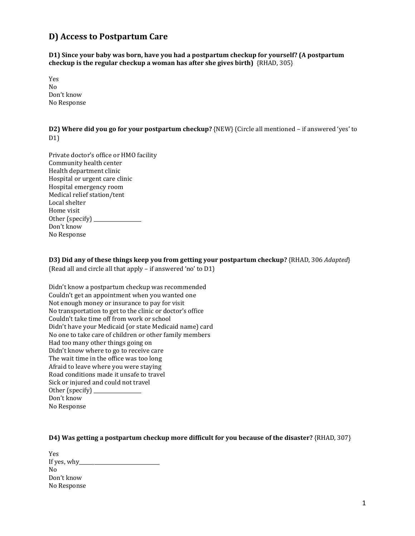## <span id="page-35-0"></span>**D) Access to Postpartum Care**

**D1) Since your baby was born, have you had a postpartum checkup for yourself? (A postpartum checkup is the regular checkup a woman has after she gives birth)** {RHAD, 305}

Yes No Don't know No Response

**D2) Where did you go for your postpartum checkup?** {NEW} (Circle all mentioned – if answered 'yes' to D<sub>1</sub>)

| Private doctor's office or HMO facility |
|-----------------------------------------|
| Community health center                 |
| Health department clinic                |
| Hospital or urgent care clinic          |
| Hospital emergency room                 |
| Medical relief station/tent             |
| Local shelter                           |
| Home visit                              |
| Other (specify) _                       |
| Don't know                              |
| No Response                             |
|                                         |

**D3) Did any of these things keep you from getting your postpartum checkup?** {RHAD, 306 *Adapted*} (Read all and circle all that apply – if answered 'no' to D1)

| Didn't know a postpartum checkup was recommended          |
|-----------------------------------------------------------|
| Couldn't get an appointment when you wanted one           |
| Not enough money or insurance to pay for visit            |
| No transportation to get to the clinic or doctor's office |
| Couldn't take time off from work or school                |
| Didn't have your Medicaid (or state Medicaid name) card   |
| No one to take care of children or other family members   |
| Had too many other things going on                        |
| Didn't know where to go to receive care                   |
| The wait time in the office was too long                  |
| Afraid to leave where you were staying                    |
| Road conditions made it unsafe to travel                  |
| Sick or injured and could not travel                      |
| Other (specify)                                           |
| Don't know                                                |
| No Response                                               |
|                                                           |

#### **D4) Was getting a postpartum checkup more difficult for you because of the disaster?** {RHAD, 307}

| Yes            |  |
|----------------|--|
| If yes, why__  |  |
| N <sub>0</sub> |  |
| Don't know     |  |
| No Response    |  |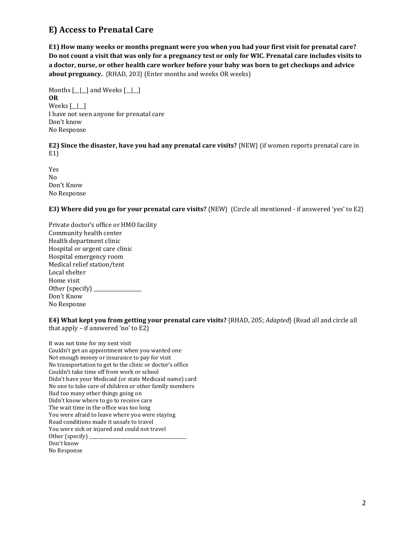## <span id="page-36-0"></span>**E) Access to Prenatal Care**

**E1) How many weeks or months pregnant were you when you had your first visit for prenatal care? Do not count a visit that was only for a pregnancy test or only for WIC. Prenatal care includes visits to a doctor, nurse, or other health care worker before your baby was born to get checkups and advice about pregnancy.** {RHAD, 203} (Enter months and weeks OR weeks)

Months  $\begin{array}{|c|c|c|c|c|}\n\hline\n\end{array}$  and Weeks  $\begin{array}{|c|c|c|c|}\n\hline\n\end{array}$ **OR** Weeks [\_\_|\_\_] I have not seen anyone for prenatal care Don't know No Response

**E2) Since the disaster, have you had any prenatal care visits?** {NEW} (if women reports prenatal care in E1)

Yes No Don't Know No Response

**E3) Where did you go for your prenatal care visits?** {NEW} (Circle all mentioned - if answered 'yes' to E2)

Private doctor's office or HMO facility Community health center Health department clinic Hospital or urgent care clinic Hospital emergency room Medical relief station/tent Local shelter Home visit Other (specify) \_\_\_\_\_\_\_\_\_\_\_\_\_\_\_\_\_\_\_ Don't Know No Response

**E4) What kept you from getting your prenatal care visits?** {RHAD, 205; *Adapted*} (Read all and circle all that apply – if answered 'no' to E2)

It was not time for my next visit Couldn't get an appointment when you wanted one Not enough money or insurance to pay for visit No transportation to get to the clinic or doctor's office Couldn't take time off from work or school Didn't have your Medicaid (or state Medicaid name) card No one to take care of children or other family members Had too many other things going on Didn't know where to go to receive care The wait time in the office was too long You were afraid to leave where you were staying Road conditions made it unsafe to travel You were sick or injured and could not travel Other (specify) \_ Don't know No Response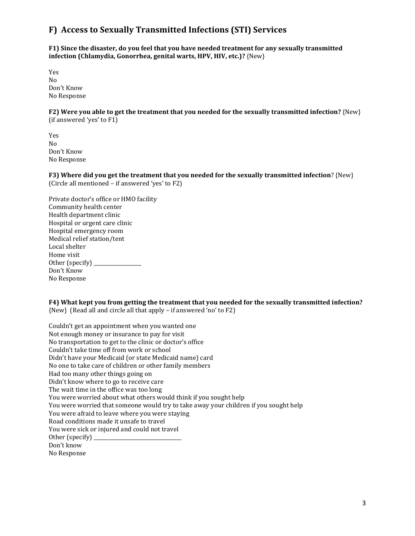## <span id="page-37-0"></span>**F) Access to Sexually Transmitted Infections (STI) Services**

**F1) Since the disaster, do you feel that you have needed treatment for any sexually transmitted infection (Chlamydia, Gonorrhea, genital warts, HPV, HIV, etc.)?** {New}

Yes No Don't Know No Response

**F2) Were you able to get the treatment that you needed for the sexually transmitted infection?** {New} (if answered 'yes' to F1)

Yes No Don't Know No Response

**F3) Where did you get the treatment that you needed for the sexually transmitted infection**? {New} (Circle all mentioned – if answered 'yes' to F2)

| Private doctor's office or HMO facility |
|-----------------------------------------|
| Community health center                 |
| Health department clinic                |
| Hospital or urgent care clinic          |
| Hospital emergency room                 |
| Medical relief station/tent             |
| Local shelter                           |
| Home visit                              |
| Other (specify) ____                    |
| Don't Know                              |
| No Response                             |
|                                         |

**F4) What kept you from getting the treatment that you needed for the sexually transmitted infection?** {New} (Read all and circle all that apply – if answered 'no' to F2)

Couldn't get an appointment when you wanted one Not enough money or insurance to pay for visit No transportation to get to the clinic or doctor's office Couldn't take time off from work or school Didn't have your Medicaid (or state Medicaid name) card No one to take care of children or other family members Had too many other things going on Didn't know where to go to receive care The wait time in the office was too long You were worried about what others would think if you sought help You were worried that someone would try to take away your children if you sought help You were afraid to leave where you were staying Road conditions made it unsafe to travel You were sick or injured and could not travel Other (specify)  $\Box$ Don't know No Response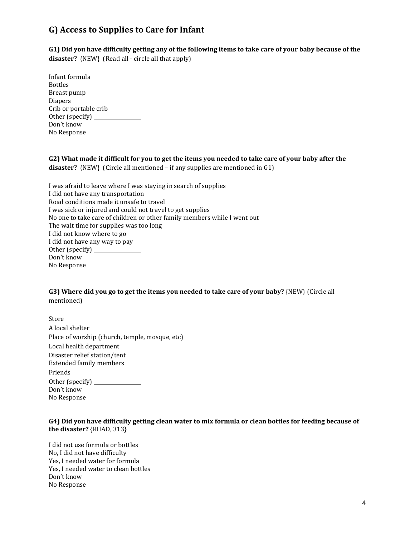## <span id="page-38-0"></span>**G) Access to Supplies to Care for Infant**

**G1) Did you have difficulty getting any of the following items to take care of your baby because of the** 

**disaster?** {NEW} (Read all - circle all that apply)

| Infant formula        |
|-----------------------|
| <b>Bottles</b>        |
| Breast pump           |
| <b>Diapers</b>        |
| Crib or portable crib |
| Other (specify) _     |
| Don't know            |
| No Response           |
|                       |

**G2) What made it difficult for you to get the items you needed to take care of your baby after the disaster?** {NEW} (Circle all mentioned – if any supplies are mentioned in G1)

| I was afraid to leave where I was staying in search of supplies          |
|--------------------------------------------------------------------------|
| I did not have any transportation                                        |
| Road conditions made it unsafe to travel                                 |
| I was sick or injured and could not travel to get supplies               |
| No one to take care of children or other family members while I went out |
| The wait time for supplies was too long                                  |
| I did not know where to go                                               |
| I did not have any way to pay                                            |
|                                                                          |
| Don't know                                                               |
| No Response                                                              |

**G3) Where did you go to get the items you needed to take care of your baby?** {NEW} (Circle all mentioned)

| Store                                          |
|------------------------------------------------|
| A local shelter                                |
| Place of worship (church, temple, mosque, etc) |
| Local health department                        |
| Disaster relief station/tent                   |
| <b>Extended family members</b>                 |
| Friends                                        |
| Other (specify) _____                          |
| Don't know                                     |
| No Response                                    |

#### **G4) Did you have difficulty getting clean water to mix formula or clean bottles for feeding because of the disaster?** {RHAD, 313}

I did not use formula or bottles No, I did not have difficulty Yes, I needed water for formula Yes, I needed water to clean bottles Don't know No Response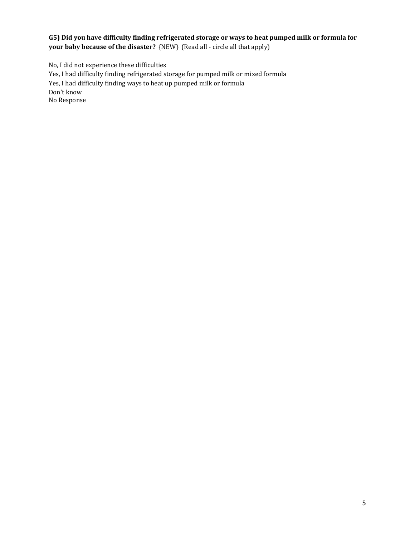#### **G5) Did you have difficulty finding refrigerated storage or ways to heat pumped milk or formula for your baby because of the disaster?** {NEW} (Read all - circle all that apply)

No, I did not experience these difficulties Yes, I had difficulty finding refrigerated storage for pumped milk or mixed formula Yes, I had difficulty finding ways to heat up pumped milk or formula Don't know No Response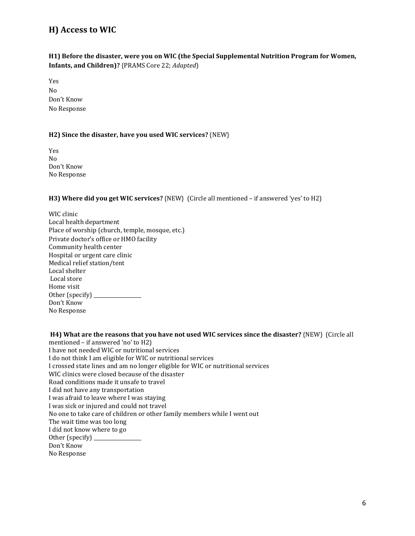## <span id="page-40-0"></span>**H) Access to WIC**

#### **H1) Before the disaster, were you on WIC (the Special Supplemental Nutrition Program for Women, Infants, and Children)?** {PRAMS Core 22; *Adapted*)

Yes No Don't Know No Response

#### **H2) Since the disaster, have you used WIC services?** {NEW}

Yes No Don't Know No Response

#### **H3) Where did you get WIC services?** {NEW} (Circle all mentioned – if answered 'yes' to H2)

WIC clinic Local health department Place of worship (church, temple, mosque, etc.) Private doctor's office or HMO facility Community health center Hospital or urgent care clinic Medical relief station/tent Local shelter Local store Home visit Other (specify) \_\_ Don't Know No Response

**H4) What are the reasons that you have not used WIC services since the disaster?** {NEW} (Circle all mentioned – if answered 'no' to H2) I have not needed WIC or nutritional services I do not think I am eligible for WIC or nutritional services I crossed state lines and am no longer eligible for WIC or nutritional services WIC clinics were closed because of the disaster Road conditions made it unsafe to travel I did not have any transportation I was afraid to leave where I was staying I was sick or injured and could not travel No one to take care of children or other family members while I went out The wait time was too long I did not know where to go Other (specify) Don't Know No Response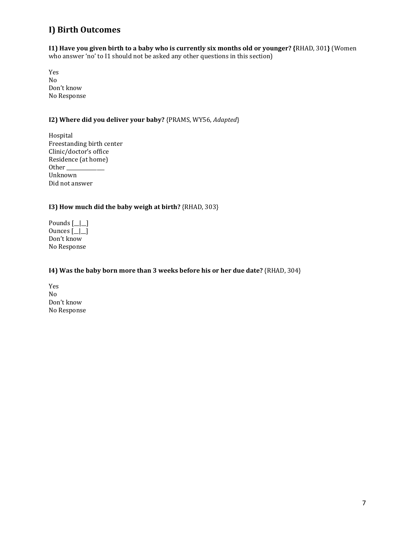## <span id="page-41-0"></span>**I) Birth Outcomes**

**I1) Have you given birth to a baby who is currently six months old or younger? {**RHAD, 301**}** (Women who answer 'no' to I1 should not be asked any other questions in this section)

Yes No Don't know No Response

#### **I2) Where did you deliver your baby?** {PRAMS, WY56, *Adapted*}

Hospital Freestanding birth center Clinic/doctor's office Residence (at home) Other\_ Unknown Did not answer

#### **I3) How much did the baby weigh at birth?** {RHAD, 303}

| Pounds $[\_]\_$ |
|-----------------|
| Ounces $[\_]\_$ |
| Don't know      |
| No Response     |

#### **I4) Was the baby born more than 3 weeks before his or her due date?** {RHAD, 304}

Yes No Don't know No Response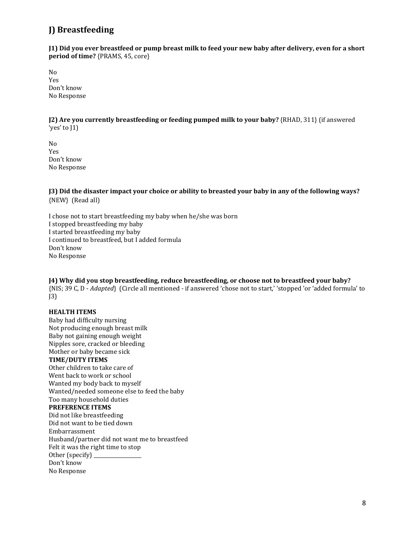## <span id="page-42-0"></span>**J) Breastfeeding**

**J1) Did you ever breastfeed or pump breast milk to feed your new baby after delivery, even for a short period of time?** {PRAMS, 45, core}

No Yes Don't know No Response

**J2) Are you currently breastfeeding or feeding pumped milk to your baby?** {RHAD, 311} (if answered 'yes' to J1)

No Yes Don't know No Response

**J3) Did the disaster impact your choice or ability to breasted your baby in any of the following ways?**  {NEW} (Read all)

I chose not to start breastfeeding my baby when he/she was born I stopped breastfeeding my baby I started breastfeeding my baby I continued to breastfeed, but I added formula Don't know No Response

**J4) Why did you stop breastfeeding, reduce breastfeeding, or choose not to breastfeed your baby?**  {NIS; 39 C, D - *Adapted*} (Circle all mentioned - if answered 'chose not to start,' 'stopped 'or 'added formula' to J3)

#### **HEALTH ITEMS**

Baby had difficulty nursing Not producing enough breast milk Baby not gaining enough weight Nipples sore, cracked or bleeding Mother or baby became sick **TIME/DUTY ITEMS** Other children to take care of Went back to work or school Wanted my body back to myself Wanted/needed someone else to feed the baby Too many household duties **PREFERENCE ITEMS** Did not like breastfeeding Did not want to be tied down Embarrassment Husband/partner did not want me to breastfeed Felt it was the right time to stop Other (specify) Don't know No Response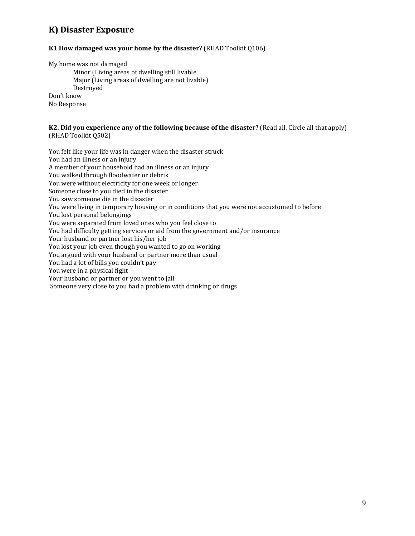## <span id="page-43-0"></span>**K) Disaster Exposure**

#### **K1 How damaged was your home by the disaster?** (RHAD Toolkit Q106)

My home was not damaged

Minor (Living areas of dwelling still livable Major (Living areas of dwelling are not livable) Destroyed Don't know No Response

#### **K2. Did you experience any of the following because of the disaster?** (Read all. Circle all that apply) (RHAD Toolkit Q502)

You felt like your life was in danger when the disaster struck You had an illness or an injury A member of your household had an illness or an injury You walked through floodwater or debris You were without electricity for one week or longer Someone close to you died in the disaster You saw someone die in the disaster You were living in temporary housing or in conditions that you were not accustomed to before You lost personal belongings You were separated from loved ones who you feel close to You had difficulty getting services or aid from the government and/or insurance Your husband or partner lost his/her job You lost your job even though you wanted to go on working You argued with your husband or partner more than usual You had a lot of bills you couldn't pay You were in a physical fight Your husband or partner or you went to jail Someone very close to you had a problem with drinking or drugs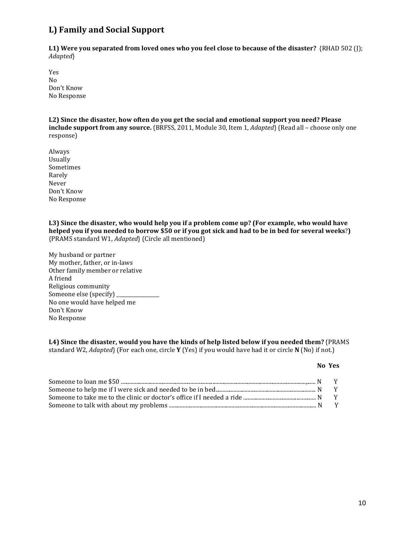## <span id="page-44-0"></span>**L) Family and Social Support**

**L1) Were you separated from loved ones who you feel close to because of the disaster?** {RHAD 502 (J); *Adapted*}

Yes No Don't Know No Response

**L2) Since the disaster, how often do you get the social and emotional support you need? Please include support from any source.** {BRFSS, 2011, Module 30, Item 1, *Adapted*} (Read all – choose only one response)

Always Usually Sometimes Rarely Never Don't Know No Response

**L3) Since the disaster, who would help you if a problem come up? (For example, who would have helped you if you needed to borrow \$50 or if you got sick and had to be in bed for several weeks**?**)** {PRAMS standard W1, *Adapted*} (Circle all mentioned)

My husband or partner My mother, father, or in-laws Other family member or relative A friend Religious community Someone else (specify) No one would have helped me Don't Know No Response

#### **L4) Since the disaster, would you have the kinds of help listed below if you needed them?** {PRAMS

standard W2, *Adapted*} (For each one, circle **Y** (Yes) if you would have had it or circle **N** (No) if not.)

#### **No Yes**

| Someone to take me to the clinic or doctor's office if I needed a ride $\ldots$ $\ldots$ $\ldots$ $\ldots$ $\ldots$ $\ldots$ $\ldots$ $\ldots$ $\ldots$ $\ldots$ $\ldots$ $\ldots$ $\ldots$ $\ldots$ $\ldots$ $\ldots$ |  |
|------------------------------------------------------------------------------------------------------------------------------------------------------------------------------------------------------------------------|--|
|                                                                                                                                                                                                                        |  |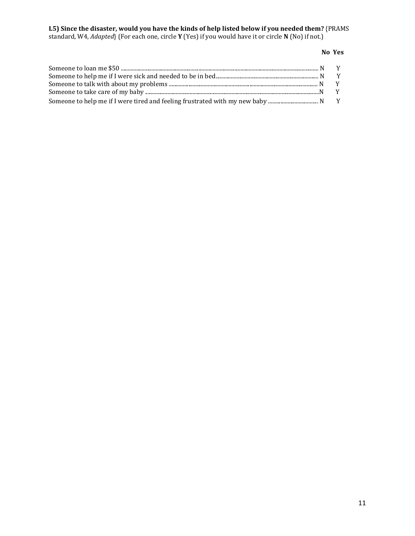#### **L5) Since the disaster, would you have the kinds of help listed below if you needed them?** {PRAMS standard, W4, *Adapted*} (For each one, circle **Y** (Yes) if you would have it or circle **N** (No) if not.)

#### **No Yes**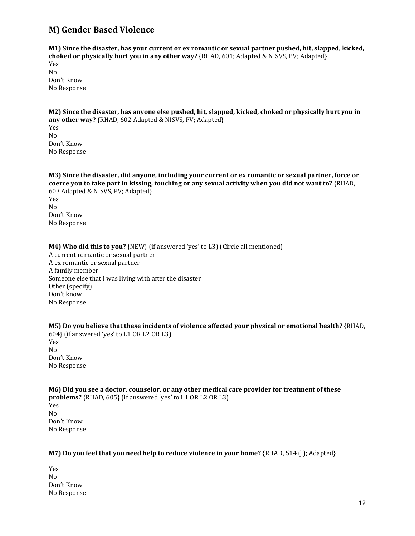## <span id="page-46-0"></span>**M) Gender Based Violence**

**M1) Since the disaster, has your current or ex romantic or sexual partner pushed, hit, slapped, kicked, choked or physically hurt you in any other way?** {RHAD, 601; Adapted & NISVS, PV; Adapted} Yes No Don't Know No Response

**M2) Since the disaster, has anyone else pushed, hit, slapped, kicked, choked or physically hurt you in any other way?** {RHAD, 602 Adapted & NISVS, PV; Adapted} Yes No Don't Know No Response

**M3) Since the disaster, did anyone, including your current or ex romantic or sexual partner, force or coerce you to take part in kissing, touching or any sexual activity when you did not want to?** {RHAD, 603 Adapted & NISVS, PV; Adapted} Yes No Don't Know No Response

#### **M4) Who did this to you?** {NEW} (if answered 'yes' to L3) (Circle all mentioned)

A current romantic or sexual partner A ex romantic or sexual partner A family member Someone else that I was living with after the disaster Other (specify)  $\frac{1}{\sqrt{1-\frac{1}{2}}}\left| \frac{1}{\sqrt{1-\frac{1}{2}}}\right|$ Don't know No Response

**M5) Do you believe that these incidents of violence affected your physical or emotional health?** {RHAD, 604} (if answered 'yes' to L1 OR L2 OR L3) Yes No Don't Know No Response

| M6) Did you see a doctor, counselor, or any other medical care provider for treatment of these |  |
|------------------------------------------------------------------------------------------------|--|
| <b>problems?</b> $\{RHAD, 605\}$ (if answered 'yes' to L1 OR L2 OR L3)                         |  |
| Yes                                                                                            |  |
| Nο                                                                                             |  |
| Don't Know                                                                                     |  |
| No Response                                                                                    |  |

#### **M7) Do you feel that you need help to reduce violence in your home?** {RHAD, 514 (I); Adapted}

Yes No Don't Know No Response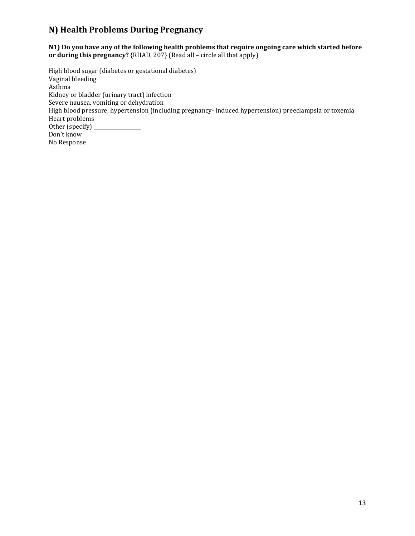## <span id="page-47-0"></span>**N) Health Problems During Pregnancy**

**N1) Do you have any of the following health problems that require ongoing care which started before or during this pregnancy?** {RHAD, 207} (Read all – circle all that apply)

High blood sugar (diabetes or gestational diabetes) Vaginal bleeding Asthma Kidney or bladder (urinary tract) infection Severe nausea, vomiting or dehydration High blood pressure, hypertension (including pregnancy- induced hypertension) preeclampsia or toxemia Heart problems Other (specify) \_ Don't know No Response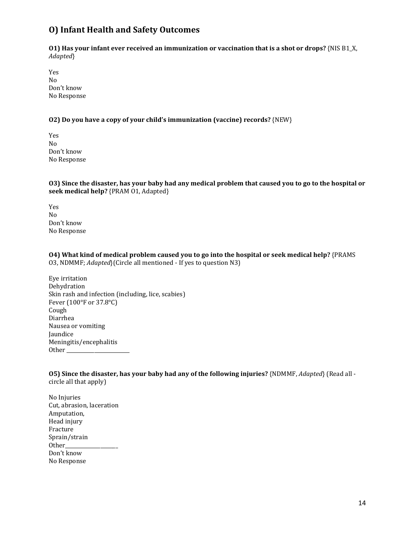## <span id="page-48-0"></span>**O) Infant Health and Safety Outcomes**

**O1) Has your infant ever received an immunization or vaccination that is a shot or drops?** {NIS B1\_X, *Adapted*}

Yes No Don't know No Response

#### **O2) Do you have a copy of your child's immunization (vaccine) records?** {NEW}

Yes No Don't know No Response

**O3) Since the disaster, has your baby had any medical problem that caused you to go to the hospital or seek medical help?** {PRAM O1, Adapted}

Yes No Don't know No Response

**O4) What kind of medical problem caused you to go into the hospital or seek medical help?** {PRAMS O3, NDMMF; *Adapted*}(Circle all mentioned - If yes to question N3)

Eye irritation Dehydration Skin rash and infection (including, lice, scabies) Fever (100°F or 37.8°C) Cough Diarrhea Nausea or vomiting Jaundice Meningitis/encephalitis Other\_

**O5) Since the disaster, has your baby had any of the following injuries?** {NDMMF, *Adapted*} (Read all circle all that apply)

No Injuries Cut, abrasion, laceration Amputation, Head injury Fracture Sprain/strain Other\_\_\_\_\_\_\_\_\_\_\_\_\_\_\_\_\_\_\_\_\_ Don't know No Response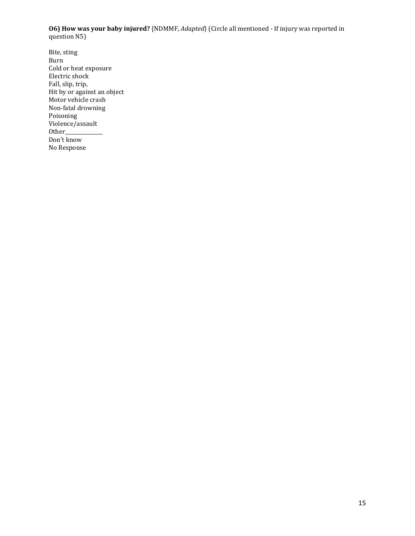**O6) How was your baby injured?** {NDMMF, *Adapted*} (Circle all mentioned - If injury was reported in question N5)

Bite, sting Burn Cold or heat exposure Electric shock Fall, slip, trip, Hit by or against an object Motor vehicle crash Non-fatal drowning Poisoning Violence/assault Other\_\_\_\_\_\_\_\_\_\_\_\_\_\_\_ Don't know No Response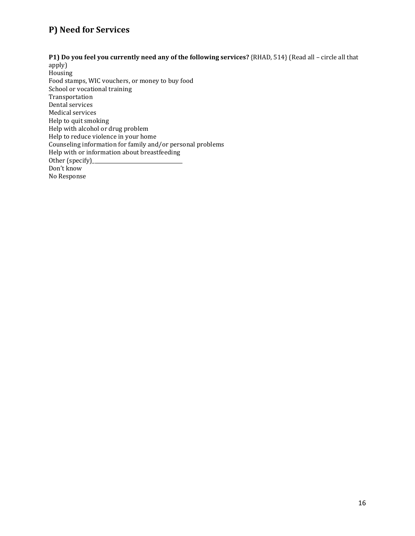## <span id="page-50-0"></span>**P) Need for Services**

#### **P1) Do you feel you currently need any of the following services?** {RHAD, 514} (Read all – circle all that

apply) Housing Food stamps, WIC vouchers, or money to buy food School or vocational training Transportation Dental services Medical services Help to quit smoking Help with alcohol or drug problem Help to reduce violence in your home Counseling information for family and/or personal problems Help with or information about breastfeeding Other (specify)\_ Don't know No Response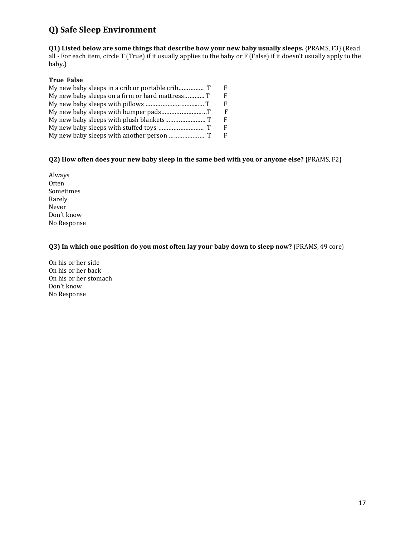## <span id="page-51-0"></span>**Q) Safe Sleep Environment**

**Q1) Listed below are some things that describe how your new baby usually sleeps.** {PRAMS, F3} (Read all - For each item, circle T (True) if it usually applies to the baby or F (False) if it doesn't usually apply to the baby.)

#### **True False**

| E  |
|----|
| F  |
| F  |
| F  |
| F  |
| F  |
| F. |
|    |

#### **Q2) How often does your new baby sleep in the same bed with you or anyone else?** {PRAMS, F2}

Always Often Sometimes Rarely Never Don't know No Response

#### **Q3) In which one position do you most often lay your baby down to sleep now?** {PRAMS, 49 core}

On his or her side On his or her back On his or her stomach Don't know No Response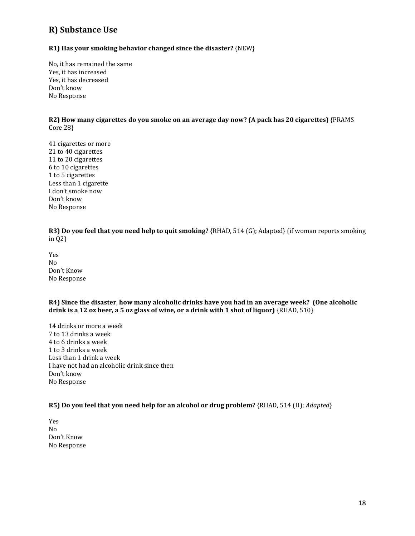## <span id="page-52-0"></span>**R) Substance Use**

#### **R1) Has your smoking behavior changed since the disaster?** {NEW}

No, it has remained the same Yes, it has increased Yes, it has decreased Don't know No Response

**R2) How many cigarettes do you smoke on an average day now? (A pack has 20 cigarettes)** {PRAMS Core 28}

41 cigarettes or more 21 to 40 cigarettes 11 to 20 cigarettes 6 to 10 cigarettes 1 to 5 cigarettes Less than 1 cigarette I don't smoke now Don't know No Response

**R3) Do you feel that you need help to quit smoking?** {RHAD, 514 (G); Adapted} (if woman reports smoking in Q2)

Yes No Don't Know No Response

**R4) Since the disaster**, **how many alcoholic drinks have you had in an average week? (One alcoholic drink is a 12 oz beer, a 5 oz glass of wine, or a drink with 1 shot of liquor)** {RHAD, 510}

14 drinks or more a week 7 to 13 drinks a week 4 to 6 drinks a week 1 to 3 drinks a week Less than 1 drink a week I have not had an alcoholic drink since then Don't know No Response

#### **R5) Do you feel that you need help for an alcohol or drug problem?** {RHAD, 514 (H); *Adapted*}

Yes No Don't Know No Response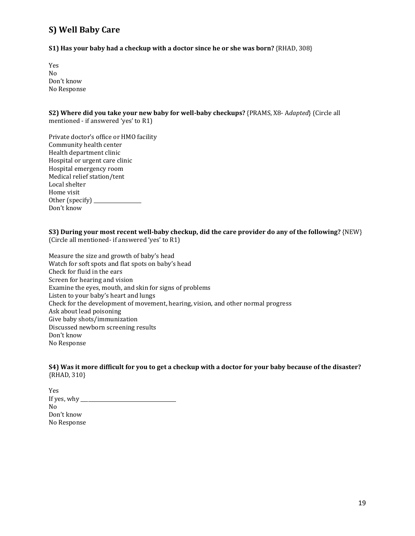## <span id="page-53-0"></span>**S) Well Baby Care**

**S1) Has your baby had a checkup with a doctor since he or she was born?** {RHAD, 308}

Yes No Don't know No Response

**S2) Where did you take your new baby for well-baby checkups?** {PRAMS, X8- A*dapted*} (Circle all mentioned - if answered 'yes' to R1)

Private doctor's office or HMO facility Community health center Health department clinic Hospital or urgent care clinic Hospital emergency room Medical relief station/tent Local shelter Home visit Other (specify) \_\_\_\_\_\_\_\_\_\_\_\_\_\_\_\_\_\_\_ Don't know

**S3) During your most recent well-baby checkup, did the care provider do any of the following?** {NEW} (Circle all mentioned- if answered 'yes' to R1)

Measure the size and growth of baby's head Watch for soft spots and flat spots on baby's head Check for fluid in the ears Screen for hearing and vision Examine the eyes, mouth, and skin for signs of problems Listen to your baby's heart and lungs Check for the development of movement, hearing, vision, and other normal progress Ask about lead poisoning Give baby shots/immunization Discussed newborn screening results Don't know No Response

**S4) Was it more difficult for you to get a checkup with a doctor for your baby because of the disaster?**  {RHAD, 310}

Yes If yes, why \_\_\_\_\_\_\_\_\_\_\_\_\_\_\_\_\_\_\_\_\_\_\_\_\_\_\_\_\_\_\_\_\_\_\_\_\_\_ No Don't know No Response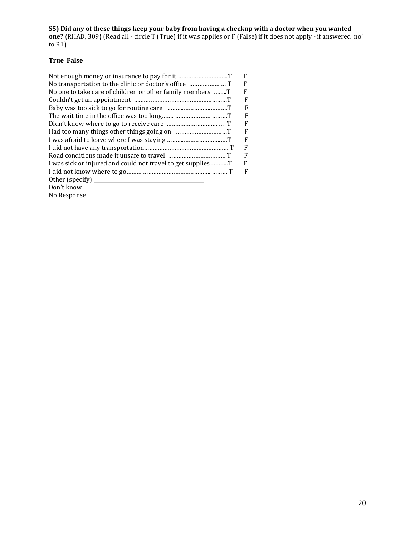**S5) Did any of these things keep your baby from having a checkup with a doctor when you wanted one?** {RHAD, 309} (Read all - circle T (True) if it was applies or F (False) if it does not apply - if answered 'no' to R1)

#### **True False**

|                                                           | F |
|-----------------------------------------------------------|---|
|                                                           | F |
| No one to take care of children or other family members T | F |
|                                                           | F |
|                                                           | F |
|                                                           | F |
|                                                           | F |
|                                                           | F |
|                                                           | F |
|                                                           | F |
|                                                           | F |
|                                                           | F |
|                                                           | F |
| Other (specify) $\frac{ }{ }$                             |   |
| Don't know                                                |   |
| No Response                                               |   |
|                                                           |   |